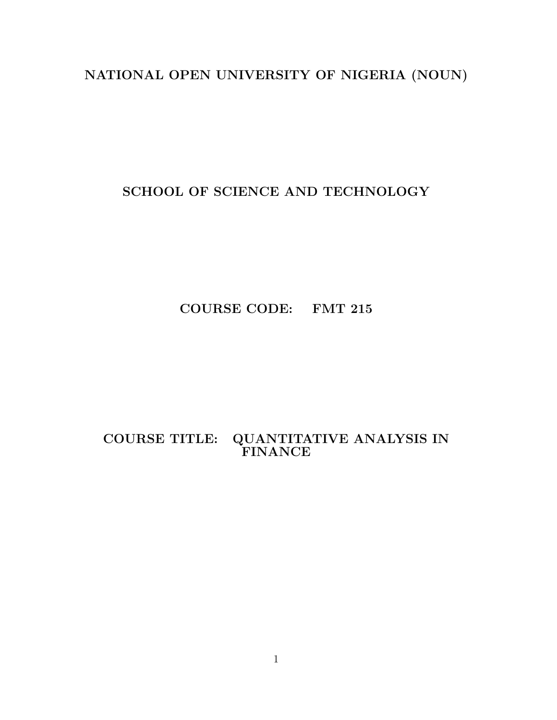# NATIONAL OPEN UNIVERSITY OF NIGERIA (NOUN)

SCHOOL OF SCIENCE AND TECHNOLOGY

COURSE CODE: FMT 215

COURSE TITLE: QUANTITATIVE ANALYSIS IN FINANCE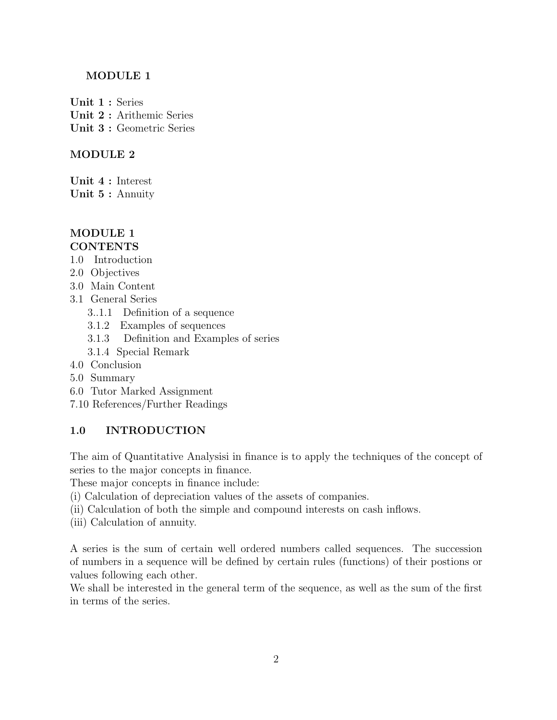# MODULE 1

Unit 1 : Series Unit 2 : Arithemic Series Unit 3 : Geometric Series

# MODULE 2

Unit 4 : Interest

Unit 5 : Annuity

## MODULE 1 **CONTENTS**

- 1.0 Introduction
- 2.0 Objectives
- 3.0 Main Content
- 3.1 General Series
	- 3..1.1 Definition of a sequence
	- 3.1.2 Examples of sequences
	- 3.1.3 Definition and Examples of series
	- 3.1.4 Special Remark
- 4.0 Conclusion
- 5.0 Summary
- 6.0 Tutor Marked Assignment
- 7.10 References/Further Readings

# 1.0 INTRODUCTION

The aim of Quantitative Analysisi in finance is to apply the techniques of the concept of series to the major concepts in finance.

These major concepts in finance include:

- (i) Calculation of depreciation values of the assets of companies.
- (ii) Calculation of both the simple and compound interests on cash inflows.
- (iii) Calculation of annuity.

A series is the sum of certain well ordered numbers called sequences. The succession of numbers in a sequence will be defined by certain rules (functions) of their postions or values following each other.

We shall be interested in the general term of the sequence, as well as the sum of the first in terms of the series.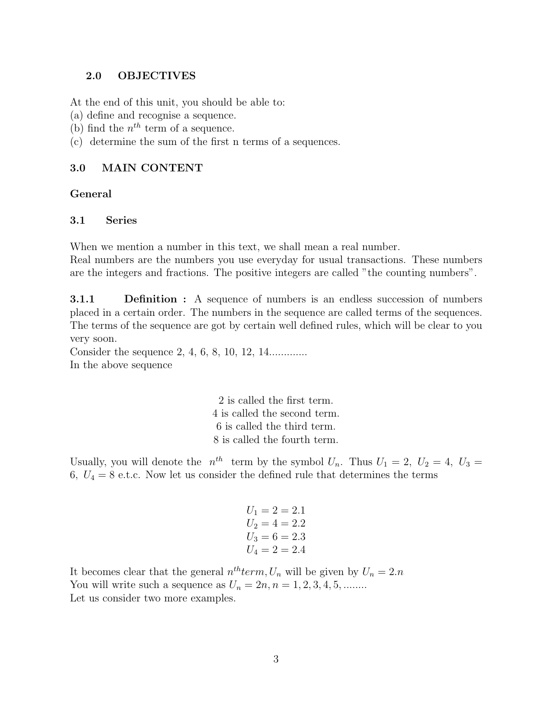## 2.0 OBJECTIVES

At the end of this unit, you should be able to:

- (a) define and recognise a sequence.
- (b) find the  $n^{th}$  term of a sequence.
- (c) determine the sum of the first n terms of a sequences.

## 3.0 MAIN CONTENT

## General

# 3.1 Series

When we mention a number in this text, we shall mean a real number. Real numbers are the numbers you use everyday for usual transactions. These numbers are the integers and fractions. The positive integers are called "the counting numbers".

**3.1.1** Definition : A sequence of numbers is an endless succession of numbers placed in a certain order. The numbers in the sequence are called terms of the sequences. The terms of the sequence are got by certain well defined rules, which will be clear to you very soon.

Consider the sequence 2, 4, 6, 8, 10, 12, 14.............. In the above sequence

> 2 is called the first term. 4 is called the second term. 6 is called the third term. 8 is called the fourth term.

Usually, you will denote the  $n^{th}$  term by the symbol  $U_n$ . Thus  $U_1 = 2$ ,  $U_2 = 4$ ,  $U_3 =$ 6,  $U_4 = 8$  e.t.c. Now let us consider the defined rule that determines the terms

$$
U_1 = 2 = 2.1
$$
  
\n
$$
U_2 = 4 = 2.2
$$
  
\n
$$
U_3 = 6 = 2.3
$$
  
\n
$$
U_4 = 2 = 2.4
$$

It becomes clear that the general  $n^{th}$ term,  $U_n$  will be given by  $U_n = 2.n$ You will write such a sequence as  $U_n = 2n, n = 1, 2, 3, 4, 5, \dots$ Let us consider two more examples.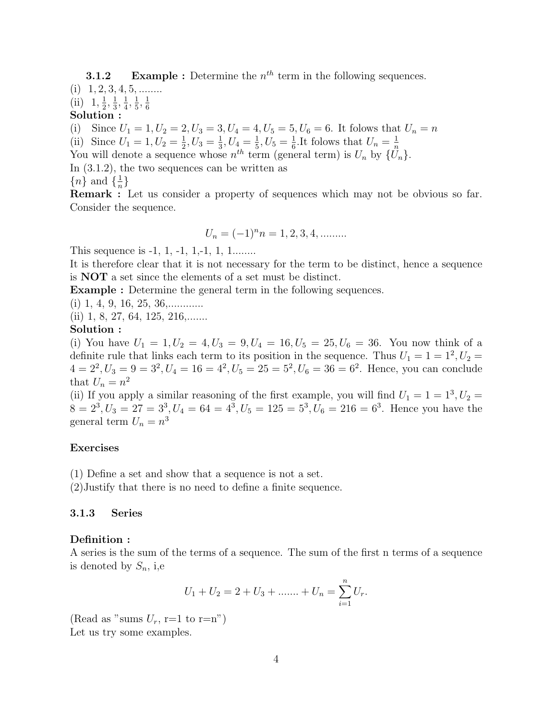**3.1.2** Example : Determine the  $n^{th}$  term in the following sequences.

 $(i)$  1, 2, 3, 4, 5, ........

 $(ii)$  1,  $\frac{1}{2}$  $\frac{1}{2}, \frac{1}{3}$  $\frac{1}{3}, \frac{1}{4}$  $\frac{1}{4}, \frac{1}{5}$  $\frac{1}{5}, \frac{1}{6}$ 6

Solution :

(i) Since  $U_1 = 1, U_2 = 2, U_3 = 3, U_4 = 4, U_5 = 5, U_6 = 6$ . It folows that  $U_n = n$ 

(ii) Since  $U_1 = 1, U_2 = \frac{1}{2}, U_3 = \frac{1}{3}, U_4 = \frac{1}{5}, U_5 = \frac{1}{6}$ . It folows that  $U_n = \frac{1}{n}$ 

You will denote a sequence whose  $n^{th}$  term (general term) is  $U_n$  by  $\{U_n\}$ .

In (3.1.2), the two sequences can be written as

 ${n}$  and  $\{\frac{1}{n}$  $\frac{1}{n}$ 

Remark : Let us consider a property of sequences which may not be obvious so far. Consider the sequence.

$$
U_n = (-1)^n n = 1, 2, 3, 4, \dots
$$

This sequence is -1, 1, -1, 1, -1, 1, 1........

It is therefore clear that it is not necessary for the term to be distinct, hence a sequence is NOT a set since the elements of a set must be distinct.

Example : Determine the general term in the following sequences.

(i) 1, 4, 9, 16, 25, 36,............

 $(ii)$  1, 8, 27, 64, 125, 216,.......

## Solution :

(i) You have  $U_1 = 1, U_2 = 4, U_3 = 9, U_4 = 16, U_5 = 25, U_6 = 36$ . You now think of a definite rule that links each term to its position in the sequence. Thus  $U_1 = 1 = 1^2, U_2 =$  $4 = 2^2, U_3 = 9 = 3^2, U_4 = 16 = 4^2, U_5 = 25 = 5^2, U_6 = 36 = 6^2$ . Hence, you can conclude that  $U_n = n^2$ 

(ii) If you apply a similar reasoning of the first example, you will find  $U_1 = 1 = 1^3, U_2 =$  $8 = 2^3, U_3 = 27 = 3^3, U_4 = 64 = 4^3, U_5 = 125 = 5^3, U_6 = 216 = 6^3$ . Hence you have the general term  $U_n = n^3$ 

## Exercises

(1) Define a set and show that a sequence is not a set.

(2)Justify that there is no need to define a finite sequence.

## 3.1.3 Series

## Definition :

A series is the sum of the terms of a sequence. The sum of the first n terms of a sequence is denoted by  $S_n$ , i,e

$$
U_1 + U_2 = 2 + U_3 + \dots + U_n = \sum_{i=1}^n U_i.
$$

(Read as "sums  $U_r$ , r=1 to r=n") Let us try some examples.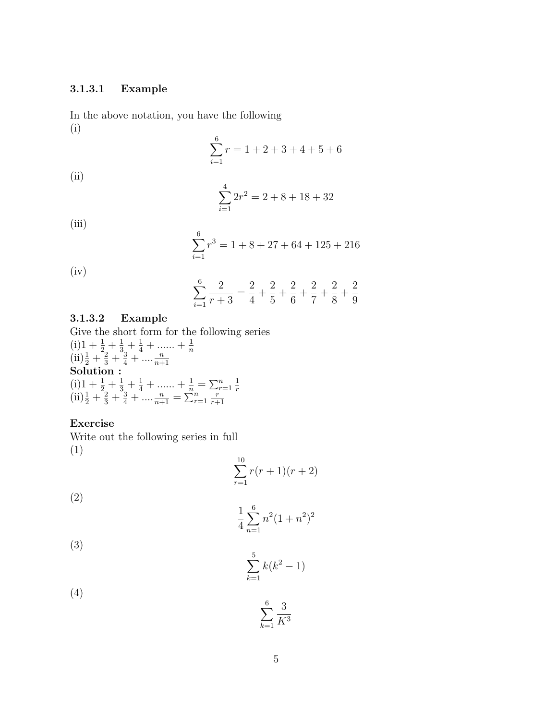# 3.1.3.1 Example

In the above notation, you have the following (i)

$$
\sum_{i=1}^{6} r = 1 + 2 + 3 + 4 + 5 + 6
$$

(ii)

$$
\sum_{i=1}^{4} 2r^2 = 2 + 8 + 18 + 32
$$

(iii)

$$
\sum_{i=1}^{6} r^3 = 1 + 8 + 27 + 64 + 125 + 216
$$

(iv)

$$
\sum_{i=1}^{6} \frac{2}{r+3} = \frac{2}{4} + \frac{2}{5} + \frac{2}{6} + \frac{2}{7} + \frac{2}{8} + \frac{2}{9}
$$

# 3.1.3.2 Example

Give the short form for the following series  $(i)1 + \frac{1}{2} + \frac{1}{3} + \frac{1}{4} + \dots + \frac{1}{n}$  $\left(\text{ii}\right)\frac{1}{2} + \frac{2}{3} + \frac{3}{4} + \dots + \frac{n}{n+1}$  $\sum_{n=1}^{\infty}$  Solution :  $(i)1 + \frac{1}{2} + \frac{1}{3} + \frac{1}{4} + \dots + \frac{1}{n} = \sum_{r=1}^{n} \frac{1}{r}$ (ii)  $\frac{1}{2} + \frac{2}{3} + \frac{3}{4} + \dots + \frac{n}{n+1} = \sum_{r=1}^{n} \frac{r}{r+1}$  $r+1$ 

# Exercise

Write out the following series in full (1)

$$
\sum_{r=1}^{10} r(r+1)(r+2)
$$

(2)

$$
\frac{1}{4} \sum_{n=1}^{6} n^2 (1 + n^2)^2
$$

(3)

$$
\sum_{k=1}^{5} k(k^2 - 1)
$$

3  $K^3$ 

(4)  $\sum$ 6

 $_{k=1}$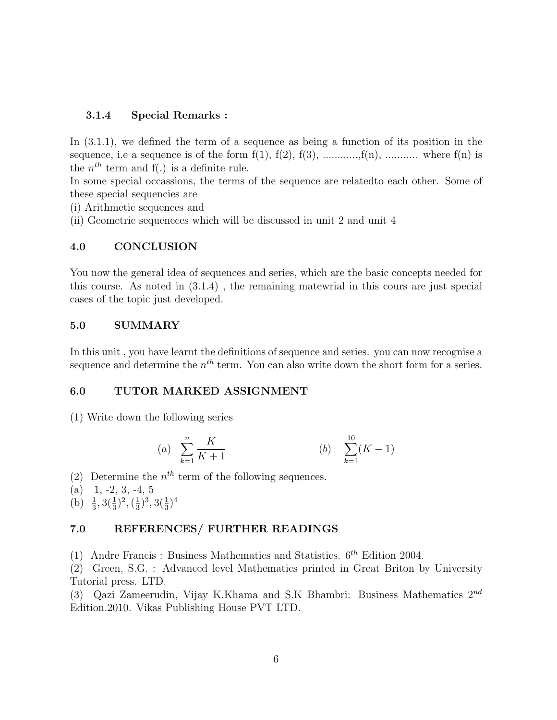## 3.1.4 Special Remarks :

In  $(3.1.1)$ , we defined the term of a sequence as being a function of its position in the sequence, i.e a sequence is of the form  $f(1)$ ,  $f(2)$ ,  $f(3)$ , ..........., $f(n)$ , ............. where  $f(n)$  is the  $n^{th}$  term and  $f(.)$  is a definite rule.

In some special occassions, the terms of the sequence are relatedto each other. Some of these special sequencies are

(i) Arithmetic sequences and

(ii) Geometric sequeneces which will be discussed in unit 2 and unit 4

# 4.0 CONCLUSION

You now the general idea of sequences and series, which are the basic concepts needed for this course. As noted in (3.1.4) , the remaining matewrial in this cours are just special cases of the topic just developed.

## 5.0 SUMMARY

In this unit , you have learnt the definitions of sequence and series. you can now recognise a sequence and determine the  $n<sup>th</sup>$  term. You can also write down the short form for a series.

## 6.0 TUTOR MARKED ASSIGNMENT

(1) Write down the following series

(a) 
$$
\sum_{k=1}^{n} \frac{K}{K+1}
$$
 (b)  $\sum_{k=1}^{10} (K-1)$ 

(2) Determine the  $n<sup>th</sup>$  term of the following sequences.

 $(a)$  1, -2, 3, -4, 5

(b)  $\frac{1}{3}$ ,  $3(\frac{1}{3})^2$ ,  $(\frac{1}{3})$  $(\frac{1}{3})^3, 3(\frac{1}{3})^4$ 

## 7.0 REFERENCES/ FURTHER READINGS

(1) Andre Francis : Business Mathematics and Statistics.  $6^{th}$  Edition 2004.

(2) Green, S.G. : Advanced level Mathematics printed in Great Briton by University Tutorial press. LTD.

(3) Qazi Zameerudin, Vijay K.Khama and S.K Bhambri: Business Mathematics  $2^{nd}$ Edition.2010. Vikas Publishing House PVT LTD.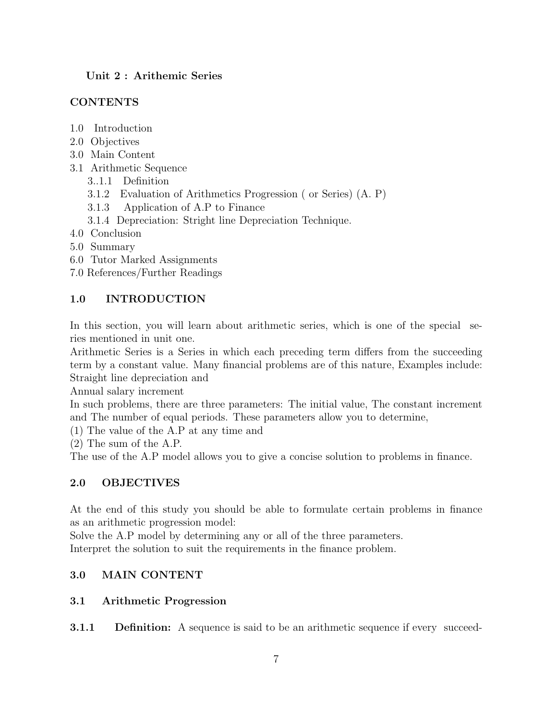# Unit 2 : Arithemic Series

# **CONTENTS**

- 1.0 Introduction
- 2.0 Objectives
- 3.0 Main Content
- 3.1 Arithmetic Sequence
	- 3..1.1 Definition
	- 3.1.2 Evaluation of Arithmetics Progression ( or Series) (A. P)
	- 3.1.3 Application of A.P to Finance
	- 3.1.4 Depreciation: Stright line Depreciation Technique.
- 4.0 Conclusion
- 5.0 Summary
- 6.0 Tutor Marked Assignments
- 7.0 References/Further Readings

# 1.0 INTRODUCTION

In this section, you will learn about arithmetic series, which is one of the special series mentioned in unit one.

Arithmetic Series is a Series in which each preceding term differs from the succeeding term by a constant value. Many financial problems are of this nature, Examples include: Straight line depreciation and

Annual salary increment

In such problems, there are three parameters: The initial value, The constant increment and The number of equal periods. These parameters allow you to determine,

(1) The value of the A.P at any time and

(2) The sum of the A.P.

The use of the A.P model allows you to give a concise solution to problems in finance.

# 2.0 OBJECTIVES

At the end of this study you should be able to formulate certain problems in finance as an arithmetic progression model:

Solve the A.P model by determining any or all of the three parameters.

Interpret the solution to suit the requirements in the finance problem.

# 3.0 MAIN CONTENT

# 3.1 Arithmetic Progression

**3.1.1** Definition: A sequence is said to be an arithmetic sequence if every succeed-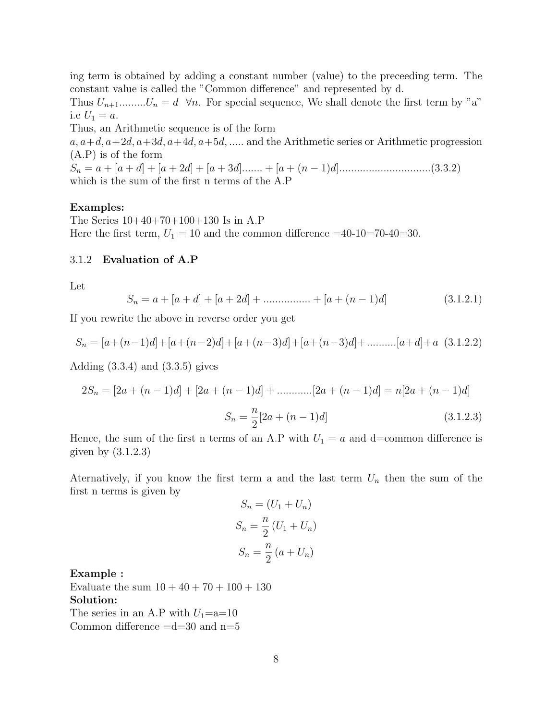ing term is obtained by adding a constant number (value) to the preceeding term. The constant value is called the "Common difference" and represented by d.

Thus  $U_{n+1}$ ......... $U_n = d \quad \forall n$ . For special sequence, We shall denote the first term by "a" i.e  $U_1 = a$ .

Thus, an Arithmetic sequence is of the form

 $a, a+d, a+2d, a+3d, a+4d, a+5d, \ldots$  and the Arithmetic series or Arithmetic progression (A.P) is of the form

S<sup>n</sup> = a + [a + d] + [a + 2d] + [a + 3d]....... + [a + (n − 1)d]...............................(3.3.2) which is the sum of the first n terms of the A.P

## Examples:

The Series 10+40+70+100+130 Is in A.P Here the first term,  $U_1 = 10$  and the common difference  $=40-10=70-40=30$ .

## 3.1.2 Evaluation of A.P

Let

$$
S_n = a + [a + d] + [a + 2d] + \dots + [a + (n - 1)d]
$$
\n(3.1.2.1)

If you rewrite the above in reverse order you get

$$
S_n = [a + (n-1)d] + [a + (n-2)d] + [a + (n-3)d] + [a + (n-3)d] + \dots \dots \dots [a + d] + a \quad (3.1.2.2)
$$

Adding  $(3.3.4)$  and  $(3.3.5)$  gives

$$
2S_n = [2a + (n-1)d] + [2a + (n-1)d] + \dots + [2a + (n-1)d] = n[2a + (n-1)d]
$$

$$
S_n = \frac{n}{2}[2a + (n-1)d]
$$
(3.1.2.3)

Hence, the sum of the first n terms of an A.P with  $U_1 = a$  and d=common difference is given by (3.1.2.3)

Aternatively, if you know the first term a and the last term  $U_n$  then the sum of the first n terms is given by

$$
S_n = (U_1 + U_n)
$$
  
\n
$$
S_n = \frac{n}{2}(U_1 + U_n)
$$
  
\n
$$
S_n = \frac{n}{2}(a + U_n)
$$

#### Example :

Evaluate the sum  $10 + 40 + 70 + 100 + 130$ Solution: The series in an A.P with  $U_1$ =a=10 Common difference  $=d=30$  and  $n=5$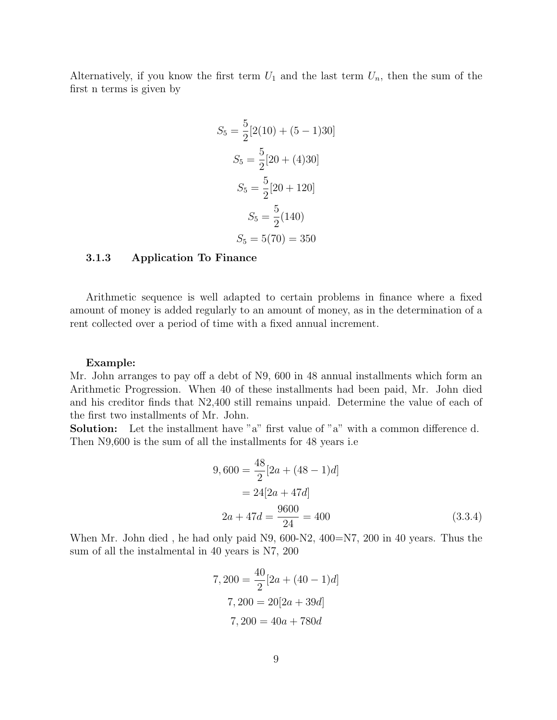Alternatively, if you know the first term  $U_1$  and the last term  $U_n$ , then the sum of the first n terms is given by

$$
S_5 = \frac{5}{2} [2(10) + (5 - 1)30]
$$
  
\n
$$
S_5 = \frac{5}{2} [20 + (4)30]
$$
  
\n
$$
S_5 = \frac{5}{2} [20 + 120]
$$
  
\n
$$
S_5 = \frac{5}{2} (140)
$$
  
\n
$$
S_5 = 5(70) = 350
$$

## 3.1.3 Application To Finance

Arithmetic sequence is well adapted to certain problems in finance where a fixed amount of money is added regularly to an amount of money, as in the determination of a rent collected over a period of time with a fixed annual increment.

#### Example:

Mr. John arranges to pay off a debt of N9, 600 in 48 annual installments which form an Arithmetic Progression. When 40 of these installments had been paid, Mr. John died and his creditor finds that N2,400 still remains unpaid. Determine the value of each of the first two installments of Mr. John.

Solution: Let the installment have "a" first value of "a" with a common difference d. Then N9,600 is the sum of all the installments for 48 years i.e

$$
9,600 = \frac{48}{2} [2a + (48 - 1)d]
$$
  
= 24[2a + 47d]  

$$
2a + 47d = \frac{9600}{24} = 400
$$
(3.3.4)

When Mr. John died, he had only paid N9, 600-N2, 400=N7, 200 in 40 years. Thus the sum of all the instalmental in 40 years is N7, 200

$$
7,200 = \frac{40}{2} [2a + (40 - 1)d]
$$

$$
7,200 = 20[2a + 39d]
$$

$$
7,200 = 40a + 780d
$$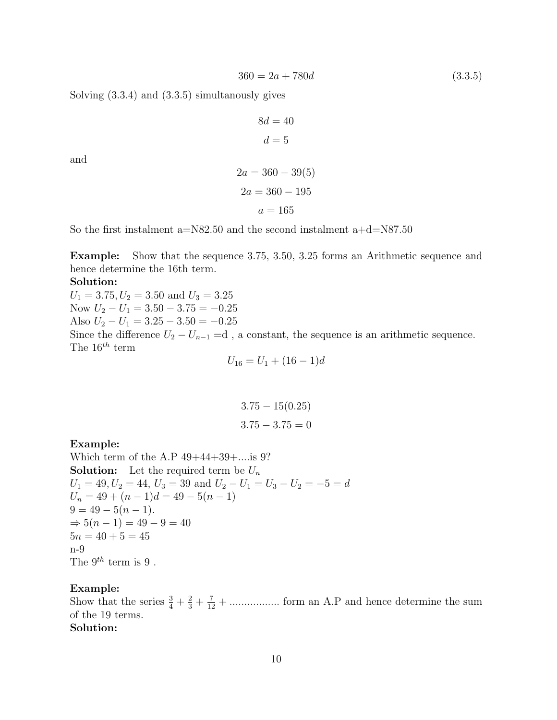$$
360 = 2a + 780d \tag{3.3.5}
$$

Solving (3.3.4) and (3.3.5) simultanously gives

$$
8d = 40
$$

$$
d = 5
$$

and

$$
2a = 360 - 39(5)
$$

$$
2a = 360 - 195
$$

$$
a = 165
$$

So the first instalment a=N82.50 and the second instalment a+d=N87.50

Example: Show that the sequence 3.75, 3.50, 3.25 forms an Arithmetic sequence and hence determine the 16th term.

#### Solution:

 $U_1 = 3.75, U_2 = 3.50$  and  $U_3 = 3.25$ Now  $U_2 - U_1 = 3.50 - 3.75 = -0.25$ Also  $U_2 - U_1 = 3.25 - 3.50 = -0.25$ Since the difference  $U_2 - U_{n-1} = d$ , a constant, the sequence is an arithmetic sequence. The  $16^{th}$  term

$$
U_{16} = U_1 + (16 - 1)d
$$

$$
3.75 - 15(0.25)
$$
  

$$
3.75 - 3.75 = 0
$$

## Example:

Which term of the A.P 49+44+39+....is 9? **Solution:** Let the required term be  $U_n$  $U_1 = 49, U_2 = 44, U_3 = 39$  and  $U_2 - U_1 = U_3 - U_2 = -5 = d$  $U_n = 49 + (n-1)d = 49 - 5(n-1)$  $9 = 49 - 5(n - 1).$  $\Rightarrow$  5(n - 1) = 49 - 9 = 40  $5n = 40 + 5 = 45$ n-9 The  $9^{th}$  term is 9.

## Example:

Show that the series  $\frac{3}{4} + \frac{2}{3} + \frac{7}{12} + \dots$  form an A.P and hence determine the sum of the 19 terms. Solution: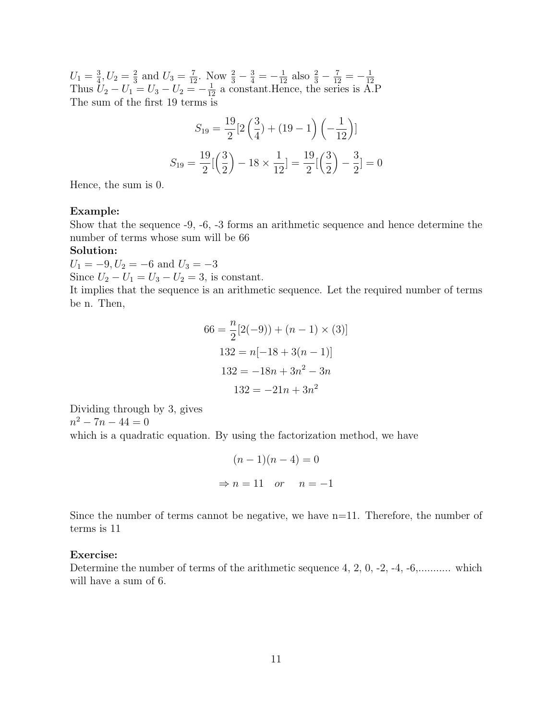$U_1 = \frac{3}{4}$  $\frac{3}{4}$ ,  $U_2 = \frac{2}{3}$  $\frac{2}{3}$  and  $U_3 = \frac{7}{12}$ . Now  $\frac{2}{3} - \frac{3}{4} = -\frac{1}{12}$  also  $\frac{2}{3} - \frac{7}{12} = -\frac{1}{12}$ Thus  $U_2 - U_1 = U_3 - U_2 = -\frac{1}{12}$  a constant. Hence, the series is A.P The sum of the first 19 terms is

$$
S_{19} = \frac{19}{2} [2\left(\frac{3}{4}\right) + (19 - 1)\left(-\frac{1}{12}\right)]
$$

$$
S_{19} = \frac{19}{2} \left[\left(\frac{3}{2}\right) - 18 \times \frac{1}{12}\right] = \frac{19}{2} \left[\left(\frac{3}{2}\right) - \frac{3}{2}\right] = 0
$$

Hence, the sum is 0.

#### Example:

Show that the sequence -9, -6, -3 forms an arithmetic sequence and hence determine the number of terms whose sum will be 66

## Solution:

 $U_1 = -9, U_2 = -6$  and  $U_3 = -3$ Since  $U_2 - U_1 = U_3 - U_2 = 3$ , is constant.

It implies that the sequence is an arithmetic sequence. Let the required number of terms be n. Then,

$$
66 = \frac{n}{2}[2(-9)) + (n - 1) \times (3)]
$$
  

$$
132 = n[-18 + 3(n - 1)]
$$
  

$$
132 = -18n + 3n^{2} - 3n
$$
  

$$
132 = -21n + 3n^{2}
$$

Dividing through by 3, gives  $n^2 - 7n - 44 = 0$ 

which is a quadratic equation. By using the factorization method, we have

$$
(n-1)(n-4) = 0
$$
  
\n
$$
\Rightarrow n = 11 \quad or \quad n = -1
$$

Since the number of terms cannot be negative, we have  $n=11$ . Therefore, the number of terms is 11

#### Exercise:

Determine the number of terms of the arithmetic sequence 4, 2, 0, -2, -4, -6,........... which will have a sum of 6.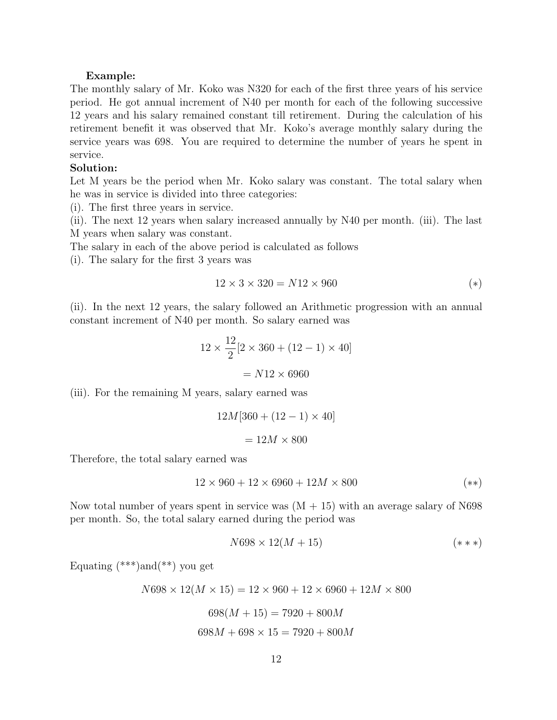#### Example:

The monthly salary of Mr. Koko was N320 for each of the first three years of his service period. He got annual increment of N40 per month for each of the following successive 12 years and his salary remained constant till retirement. During the calculation of his retirement benefit it was observed that Mr. Koko's average monthly salary during the service years was 698. You are required to determine the number of years he spent in service.

#### Solution:

Let M years be the period when Mr. Koko salary was constant. The total salary when he was in service is divided into three categories:

(i). The first three years in service.

(ii). The next 12 years when salary increased annually by N40 per month. (iii). The last M years when salary was constant.

The salary in each of the above period is calculated as follows

(i). The salary for the first 3 years was

$$
12 \times 3 \times 320 = N12 \times 960 \tag{*}
$$

(ii). In the next 12 years, the salary followed an Arithmetic progression with an annual constant increment of N40 per month. So salary earned was

$$
12 \times \frac{12}{2} [2 \times 360 + (12 - 1) \times 40]
$$
  
= N12 \times 6960

(iii). For the remaining M years, salary earned was

$$
12M[360 + (12 - 1) \times 40]
$$
  
= 12M × 800

Therefore, the total salary earned was

$$
12 \times 960 + 12 \times 6960 + 12M \times 800 \tag{**}
$$

Now total number of years spent in service was  $(M + 15)$  with an average salary of N698 per month. So, the total salary earned during the period was

$$
N698 \times 12(M+15) \tag{***}
$$

Equating  $(***)$  and  $(**)$  you get

 $N698 \times 12(M \times 15) = 12 \times 960 + 12 \times 6960 + 12M \times 800$ 

$$
698(M + 15) = 7920 + 800M
$$

$$
698M + 698 \times 15 = 7920 + 800M
$$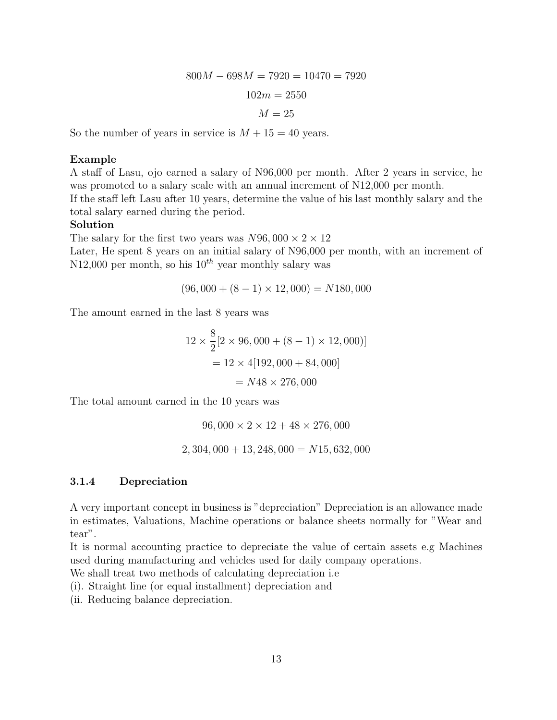$$
800M - 698M = 7920 = 10470 = 7920
$$

$$
102m = 2550
$$

$$
M = 25
$$

So the number of years in service is  $M + 15 = 40$  years.

# Example

A staff of Lasu, ojo earned a salary of N96,000 per month. After 2 years in service, he was promoted to a salary scale with an annual increment of N12,000 per month. If the staff left Lasu after 10 years, determine the value of his last monthly salary and the total salary earned during the period.

## Solution

The salary for the first two years was  $N96,000 \times 2 \times 12$ 

Later, He spent 8 years on an initial salary of N96,000 per month, with an increment of N12,000 per month, so his  $10^{th}$  year monthly salary was

$$
(96,000 + (8 - 1) \times 12,000) = N180,000
$$

The amount earned in the last 8 years was

$$
12 \times \frac{8}{2} [2 \times 96, 000 + (8 - 1) \times 12, 000)]
$$
  
= 12 \times 4[192, 000 + 84, 000]  
= N48 \times 276, 000

The total amount earned in the 10 years was

$$
96,000 \times 2 \times 12 + 48 \times 276,000
$$
  

$$
2,304,000 + 13,248,000 = N15,632,000
$$

## 3.1.4 Depreciation

A very important concept in business is "depreciation" Depreciation is an allowance made in estimates, Valuations, Machine operations or balance sheets normally for "Wear and tear".

It is normal accounting practice to depreciate the value of certain assets e.g Machines used during manufacturing and vehicles used for daily company operations.

We shall treat two methods of calculating depreciation i.e

(i). Straight line (or equal installment) depreciation and

(ii. Reducing balance depreciation.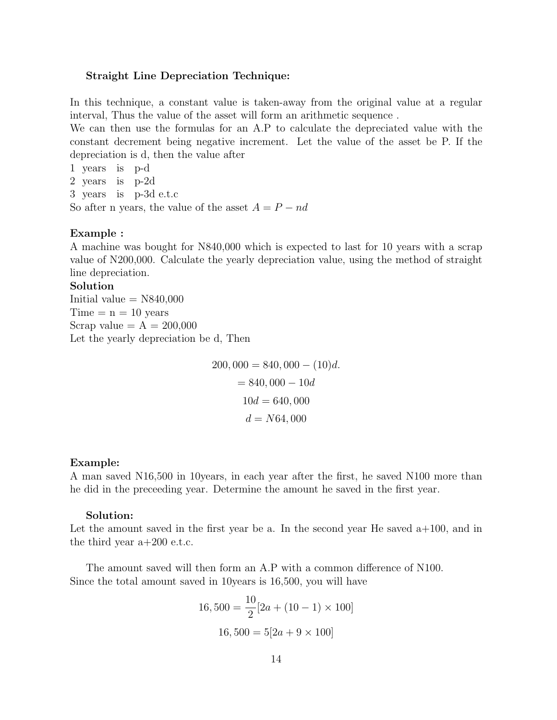#### Straight Line Depreciation Technique:

In this technique, a constant value is taken-away from the original value at a regular interval, Thus the value of the asset will form an arithmetic sequence .

We can then use the formulas for an A.P to calculate the depreciated value with the constant decrement being negative increment. Let the value of the asset be P. If the depreciation is d, then the value after

1 years is p-d 2 years is p-2d 3 years is p-3d e.t.c So after n years, the value of the asset  $A = P - nd$ 

## Example :

A machine was bought for N840,000 which is expected to last for 10 years with a scrap value of N200,000. Calculate the yearly depreciation value, using the method of straight line depreciation.

#### Solution

Initial value  $=$  N840,000  $Time = n = 10 years$ Scrap value  $= A = 200,000$ Let the yearly depreciation be d, Then

> $200,000 = 840,000 - (10)d.$  $= 840,000 - 10d$  $10d = 640,000$  $d = N64,000$

## Example:

A man saved N16,500 in 10years, in each year after the first, he saved N100 more than he did in the preceeding year. Determine the amount he saved in the first year.

## Solution:

Let the amount saved in the first year be a. In the second year He saved  $a+100$ , and in the third year  $a+200$  e.t.c.

The amount saved will then form an A.P with a common difference of N100. Since the total amount saved in 10years is 16,500, you will have

$$
16,500 = \frac{10}{2} [2a + (10 - 1) \times 100]
$$

$$
16,500 = 5[2a + 9 \times 100]
$$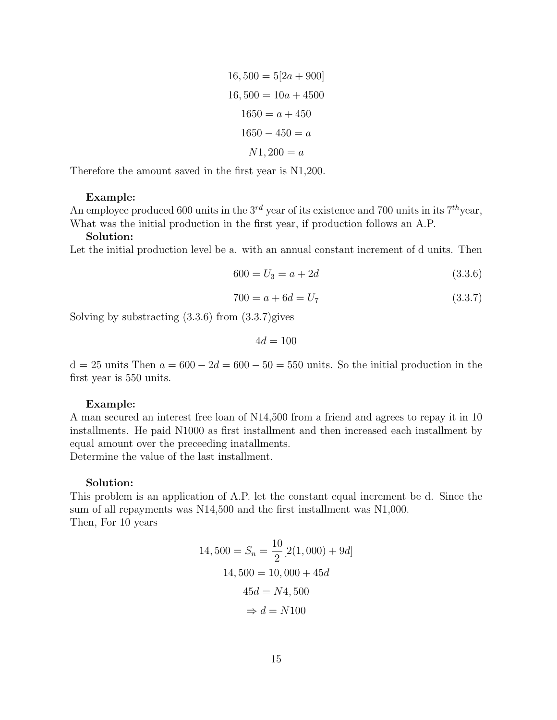$$
16,500 = 5[2a + 900]
$$

$$
16,500 = 10a + 4500
$$

$$
1650 = a + 450
$$

$$
1650 - 450 = a
$$

$$
N1,200 = a
$$

Therefore the amount saved in the first year is N1,200.

#### Example:

An employee produced 600 units in the  $3^{rd}$  year of its existence and 700 units in its  $7^{th}$ year, What was the initial production in the first year, if production follows an A.P.

#### Solution:

Let the initial production level be a. with an annual constant increment of d units. Then

$$
600 = U_3 = a + 2d \tag{3.3.6}
$$

$$
700 = a + 6d = U_7 \tag{3.3.7}
$$

Solving by substracting (3.3.6) from (3.3.7)gives

 $4d = 100$ 

 $d = 25$  units Then  $a = 600 - 2d = 600 - 50 = 550$  units. So the initial production in the first year is 550 units.

#### Example:

A man secured an interest free loan of N14,500 from a friend and agrees to repay it in 10 installments. He paid N1000 as first installment and then increased each installment by equal amount over the preceeding inatallments.

Determine the value of the last installment.

#### Solution:

This problem is an application of A.P. let the constant equal increment be d. Since the sum of all repayments was N14,500 and the first installment was N1,000. Then, For 10 years

$$
14,500 = S_n = \frac{10}{2} [2(1,000) + 9d]
$$

$$
14,500 = 10,000 + 45d
$$

$$
45d = N4,500
$$

$$
\Rightarrow d = N100
$$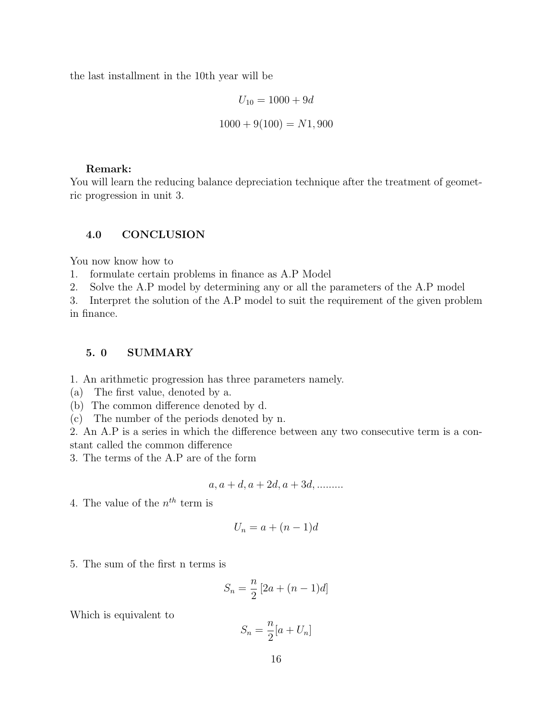the last installment in the 10th year will be

$$
U_{10} = 1000 + 9d
$$

$$
1000 + 9(100) = N1,900
$$

#### Remark:

You will learn the reducing balance depreciation technique after the treatment of geometric progression in unit 3.

# 4.0 CONCLUSION

You now know how to

1. formulate certain problems in finance as A.P Model

2. Solve the A.P model by determining any or all the parameters of the A.P model

3. Interpret the solution of the A.P model to suit the requirement of the given problem in finance.

## 5. 0 SUMMARY

1. An arithmetic progression has three parameters namely.

- (a) The first value, denoted by a.
- (b) The common difference denoted by d.
- (c) The number of the periods denoted by n.

2. An A.P is a series in which the difference between any two consecutive term is a constant called the common difference

3. The terms of the A.P are of the form

$$
a, a+d, a+2d, a+3d, \ldots
$$

4. The value of the  $n^{th}$  term is

$$
U_n = a + (n-1)d
$$

5. The sum of the first n terms is

$$
S_n = \frac{n}{2} [2a + (n-1)d]
$$

Which is equivalent to

$$
S_n = \frac{n}{2}[a + U_n]
$$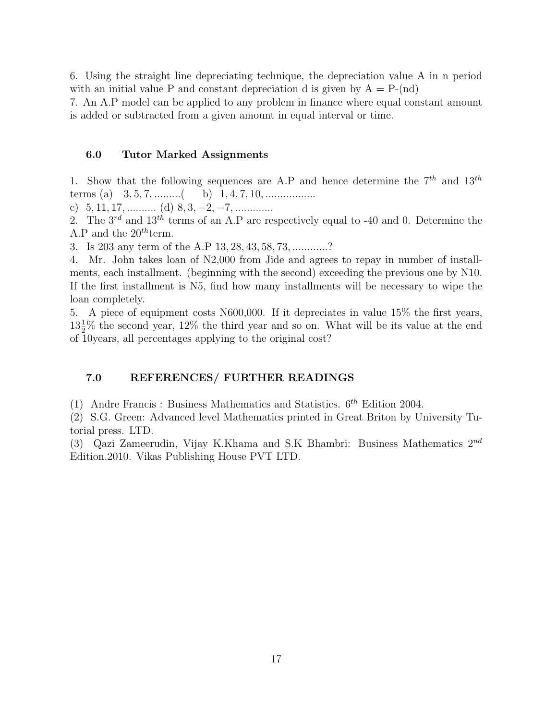6. Using the straight line depreciating technique, the depreciation value A in n period with an initial value P and constant depreciation d is given by  $A = P-(nd)$ 

7. An A.P model can be applied to any problem in finance where equal constant amount is added or subtracted from a given amount in equal interval or time.

# 6.0 Tutor Marked Assignments

1. Show that the following sequences are A.P and hence determine the  $7^{th}$  and  $13^{th}$ terms (a)  $3, 5, 7, \dots$  (b)  $1, 4, 7, 10, \dots$ 

c)  $5, 11, 17, \ldots$  (d)  $8, 3, -2, -7, \ldots$ 

2. The  $3^{rd}$  and  $13^{th}$  terms of an A.P are respectively equal to -40 and 0. Determine the A.P and the  $20^{th}$  term.

3. Is 203 any term of the A.P 13, 28, 43, 58, 73, ............?

4. Mr. John takes loan of N2,000 from Jide and agrees to repay in number of installments, each installment. (beginning with the second) exceeding the previous one by N10. If the first installment is N5, find how many installments will be necessary to wipe the loan completely.

5. A piece of equipment costs N600,000. If it depreciates in value 15% the first years,  $13\frac{1}{2}\%$  the second year, 12% the third year and so on. What will be its value at the end of 10years, all percentages applying to the original cost?

# 7.0 REFERENCES/ FURTHER READINGS

(1) Andre Francis : Business Mathematics and Statistics.  $6^{th}$  Edition 2004.

(2) S.G. Green: Advanced level Mathematics printed in Great Briton by University Tutorial press. LTD.

(3) Qazi Zameerudin, Vijay K.Khama and S.K Bhambri: Business Mathematics  $2^{nd}$ Edition.2010. Vikas Publishing House PVT LTD.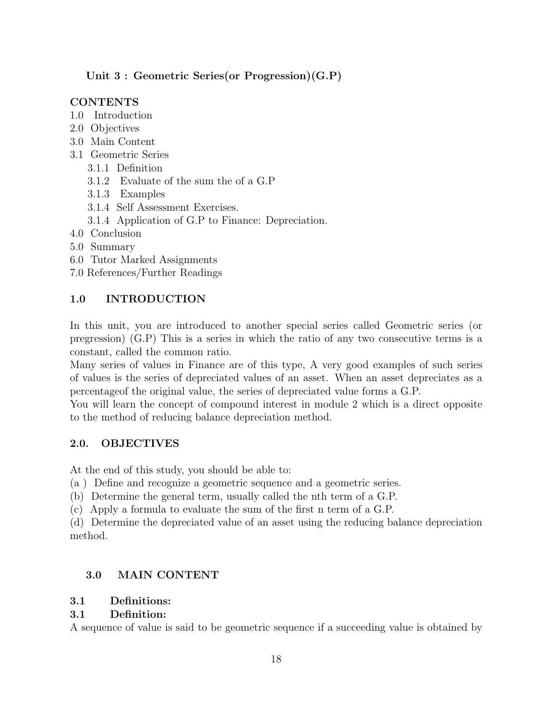# Unit 3 : Geometric Series(or Progression)(G.P)

# **CONTENTS**

- 1.0 Introduction
- 2.0 Objectives
- 3.0 Main Content
- 3.1 Geometric Series
	- 3.1.1 Definition
	- 3.1.2 Evaluate of the sum the of a G.P
	- 3.1.3 Examples
	- 3.1.4 Self Assessment Exercises.
	- 3.1.4 Application of G.P to Finance: Depreciation.
- 4.0 Conclusion
- 5.0 Summary
- 6.0 Tutor Marked Assignments
- 7.0 References/Further Readings

# 1.0 INTRODUCTION

In this unit, you are introduced to another special series called Geometric series (or pregression) (G.P) This is a series in which the ratio of any two consecutive terms is a constant, called the common ratio.

Many series of values in Finance are of this type, A very good examples of such series of values is the series of depreciated values of an asset. When an asset depreciates as a percentageof the original value, the series of depreciated value forms a G.P.

You will learn the concept of compound interest in module 2 which is a direct opposite to the method of reducing balance depreciation method.

# 2.0. OBJECTIVES

At the end of this study, you should be able to:

(a ) Define and recognize a geometric sequence and a geometric series.

(b) Determine the general term, usually called the nth term of a G.P.

(c) Apply a formula to evaluate the sum of the first n term of a G.P.

(d) Determine the depreciated value of an asset using the reducing balance depreciation method.

# 3.0 MAIN CONTENT

# 3.1 Definitions:

# 3.1 Definition:

A sequence of value is said to be geometric sequence if a succeeding value is obtained by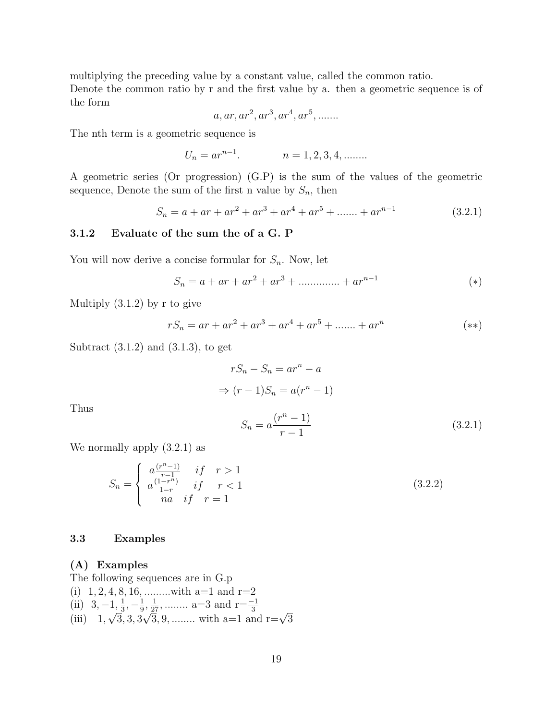multiplying the preceding value by a constant value, called the common ratio. Denote the common ratio by r and the first value by a. then a geometric sequence is of the form

$$
a, ar, ar2, ar3, ar4, ar5, \ldots
$$

The nth term is a geometric sequence is

$$
U_n = ar^{n-1}.
$$
  $n = 1, 2, 3, 4, \dots$ 

A geometric series (Or progression) (G.P) is the sum of the values of the geometric sequence, Denote the sum of the first n value by  $S_n$ , then

$$
S_n = a + ar + ar2 + ar3 + ar4 + ar5 + \dots + arn-1
$$
 (3.2.1)

# 3.1.2 Evaluate of the sum the of a G. P

You will now derive a concise formular for  $S_n$ . Now, let

$$
S_n = a + ar + ar2 + ar3 + \dots + arn-1
$$
 (\*)

Multiply (3.1.2) by r to give

$$
rS_n = ar + ar^2 + ar^3 + ar^4 + ar^5 + \dots + ar^n \tag{**}
$$

Subtract  $(3.1.2)$  and  $(3.1.3)$ , to get

$$
rS_n - S_n = ar^n - a
$$
  
\n
$$
\Rightarrow (r-1)S_n = a(r^n - 1)
$$

Thus

$$
S_n = a \frac{(r^n - 1)}{r - 1} \tag{3.2.1}
$$

We normally apply (3.2.1) as

$$
S_n = \begin{cases} a \frac{(r^n - 1)}{r - 1} & \text{if } r > 1\\ a \frac{(1 - r^n)}{1 - r} & \text{if } r < 1\\ na & \text{if } r = 1 \end{cases} \tag{3.2.2}
$$

## 3.3 Examples

(A) Examples

The following sequences are in G.p  
\n(i) 1, 2, 4, 8, 16, ......... with a=1 and r=2  
\n(ii) 3, -1, 
$$
\frac{1}{3}
$$
,  $-\frac{1}{9}$ ,  $\frac{1}{27}$ , ......... a=3 and r= $\frac{-1}{3}$   
\n(iii) 1,  $\sqrt{3}$ , 3,  $3\sqrt{3}$ , 9, ......... with a=1 and r= $\sqrt{3}$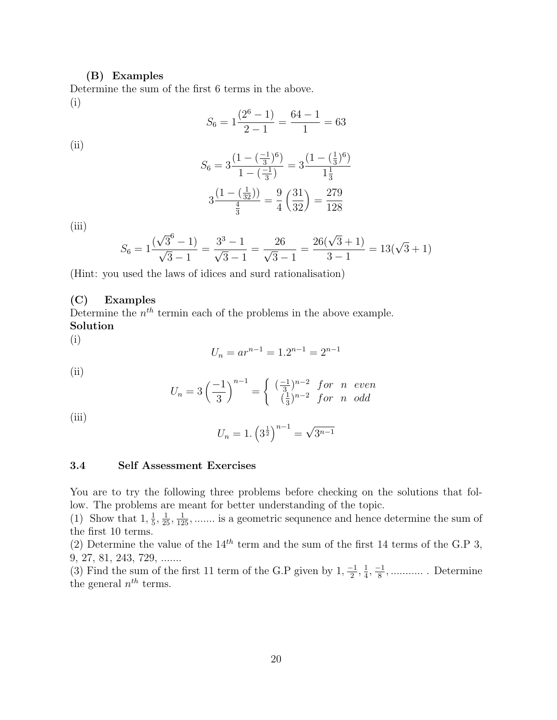#### (B) Examples

Determine the sum of the first 6 terms in the above. (i)

$$
S_6 = 1\frac{(2^6 - 1)}{2 - 1} = \frac{64 - 1}{1} = 63
$$

(ii)

$$
S_6 = 3\frac{\left(1 - \left(\frac{-1}{3}\right)^6\right)}{1 - \left(\frac{-1}{3}\right)} = 3\frac{\left(1 - \left(\frac{1}{3}\right)^6\right)}{1\frac{1}{3}}
$$

$$
3\frac{\left(1 - \left(\frac{1}{32}\right)\right)}{\frac{4}{3}} = \frac{9}{4}\left(\frac{31}{32}\right) = \frac{279}{128}
$$

(iii)

$$
S_6 = 1 \frac{(\sqrt{3}^6 - 1)}{\sqrt{3} - 1} = \frac{3^3 - 1}{\sqrt{3} - 1} = \frac{26}{\sqrt{3} - 1} = \frac{26(\sqrt{3} + 1)}{3 - 1} = 13(\sqrt{3} + 1)
$$

(Hint: you used the laws of idices and surd rationalisation)

# (C) Examples

Determine the  $n<sup>th</sup>$  termin each of the problems in the above example. Solution

(i)

$$
U_n = ar^{n-1} = 1 \cdot 2^{n-1} = 2^{n-1}
$$

 $(ii)$ 

$$
U_n = 3\left(\frac{-1}{3}\right)^{n-1} = \begin{cases} \left(\frac{-1}{3}\right)^{n-2} & \text{for } n \text{ even} \\ \left(\frac{1}{3}\right)^{n-2} & \text{for } n \text{ odd} \end{cases}
$$

(iii)

$$
U_n = 1. \left(3^{\frac{1}{2}}\right)^{n-1} = \sqrt{3^{n-1}}
$$

## 3.4 Self Assessment Exercises

You are to try the following three problems before checking on the solutions that follow. The problems are meant for better understanding of the topic.

(1) Show that  $1, \frac{1}{5}$  $\frac{1}{2}, \frac{1}{25}, \frac{1}{125}, \dots$  is a geometric sequence and hence determine the sum of the first 10 terms.

(2) Determine the value of the  $14^{th}$  term and the sum of the first 14 terms of the G.P 3, 9, 27, 81, 243, 729, .......

(3) Find the sum of the first 11 term of the G.P given by  $1, \frac{-1}{2}$  $\frac{-1}{2}, \frac{1}{4}$  $\frac{1}{4}, \frac{-1}{8}$ 8 , ........... . Determine the general  $n^{th}$  terms.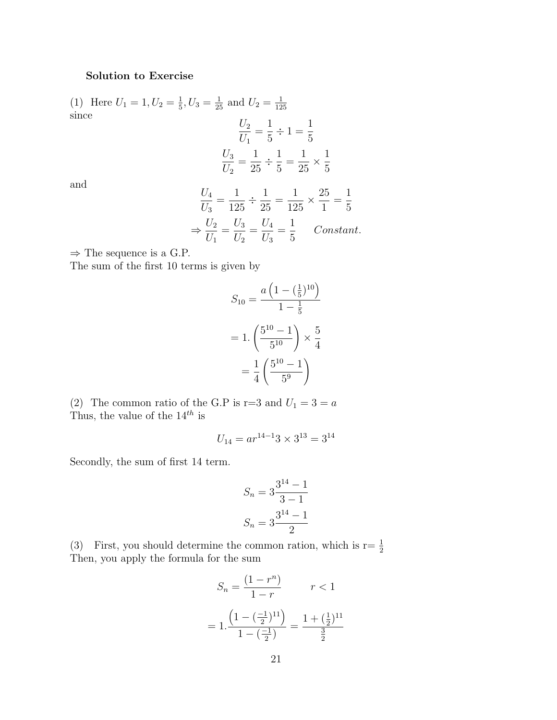# Solution to Exercise

(1) Here  $U_1 = 1, U_2 = \frac{1}{5}$  $\frac{1}{5}$ ,  $U_3 = \frac{1}{25}$  and  $U_2 = \frac{1}{12}$ 125 since

$$
\frac{U_2}{U_1} = \frac{1}{5} \div 1 = \frac{1}{5}
$$

$$
\frac{U_3}{U_2} = \frac{1}{25} \div \frac{1}{5} = \frac{1}{25} \times \frac{1}{5}
$$

and

$$
\frac{U_4}{U_3} = \frac{1}{125} \div \frac{1}{25} = \frac{1}{125} \times \frac{25}{1} = \frac{1}{5}
$$

$$
\Rightarrow \frac{U_2}{U_1} = \frac{U_3}{U_2} = \frac{U_4}{U_3} = \frac{1}{5} \quad Constant.
$$

 $\Rightarrow$  The sequence is a G.P.

The sum of the first 10 terms is given by

$$
S_{10} = \frac{a\left(1 - \left(\frac{1}{5}\right)^{10}\right)}{1 - \frac{1}{5}}
$$

$$
= 1 \cdot \left(\frac{5^{10} - 1}{5^{10}}\right) \times \frac{5}{4}
$$

$$
= \frac{1}{4} \left(\frac{5^{10} - 1}{5^9}\right)
$$

(2) The common ratio of the G.P is r=3 and  $U_1 = 3 = a$ Thus, the value of the  $14^{th}$  is

$$
U_{14} = ar^{14-1}3 \times 3^{13} = 3^{14}
$$

Secondly, the sum of first 14 term.

$$
S_n = 3\frac{3^{14} - 1}{3 - 1}
$$

$$
S_n = 3\frac{3^{14} - 1}{2}
$$

(3) First, you should determine the common ration, which is  $r = \frac{1}{2}$ Then, you apply the formula for the sum

$$
S_n = \frac{(1 - r^n)}{1 - r} \qquad r < 1
$$
\n
$$
= 1 \cdot \frac{\left(1 - \left(\frac{-1}{2}\right)^{11}\right)}{1 - \left(\frac{-1}{2}\right)} = \frac{1 + \left(\frac{1}{2}\right)^{11}}{\frac{3}{2}}
$$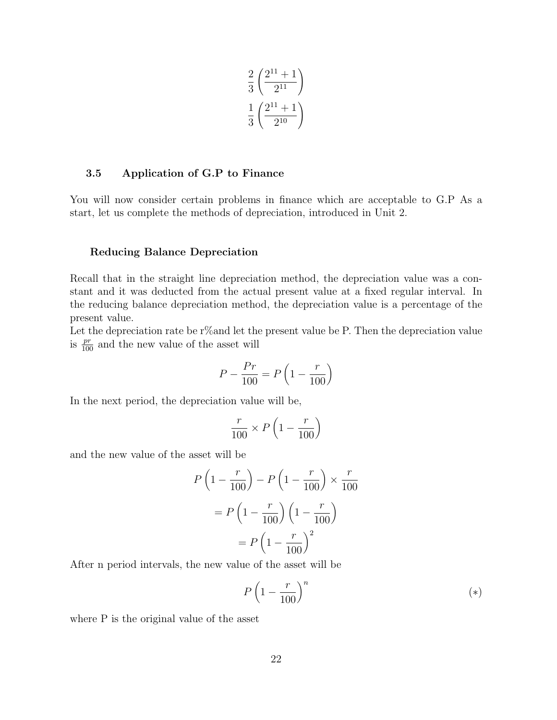$$
\frac{2}{3} \left( \frac{2^{11} + 1}{2^{11}} \right)
$$

$$
\frac{1}{3} \left( \frac{2^{11} + 1}{2^{10}} \right)
$$

## 3.5 Application of G.P to Finance

You will now consider certain problems in finance which are acceptable to G.P As a start, let us complete the methods of depreciation, introduced in Unit 2.

## Reducing Balance Depreciation

Recall that in the straight line depreciation method, the depreciation value was a constant and it was deducted from the actual present value at a fixed regular interval. In the reducing balance depreciation method, the depreciation value is a percentage of the present value.

Let the depreciation rate be r% and let the present value be P. Then the depreciation value is  $\frac{pr}{100}$  and the new value of the asset will

$$
P - \frac{Pr}{100} = P\left(1 - \frac{r}{100}\right)
$$

In the next period, the depreciation value will be,

$$
\frac{r}{100} \times P\left(1 - \frac{r}{100}\right)
$$

and the new value of the asset will be

$$
P\left(1 - \frac{r}{100}\right) - P\left(1 - \frac{r}{100}\right) \times \frac{r}{100}
$$

$$
= P\left(1 - \frac{r}{100}\right)\left(1 - \frac{r}{100}\right)
$$

$$
= P\left(1 - \frac{r}{100}\right)^2
$$

After n period intervals, the new value of the asset will be

$$
P\left(1-\frac{r}{100}\right)^n\tag{*}
$$

where P is the original value of the asset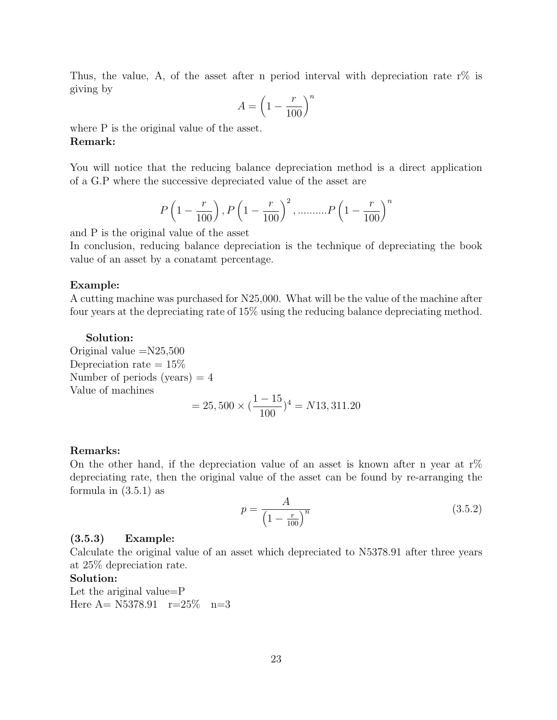Thus, the value, A, of the asset after n period interval with depreciation rate r% is giving by

$$
A = \left(1 - \frac{r}{100}\right)^n
$$

where P is the original value of the asset. Remark:

You will notice that the reducing balance depreciation method is a direct application of a G.P where the successive depreciated value of the asset are

$$
P\left(1-\frac{r}{100}\right), P\left(1-\frac{r}{100}\right)^2, \dots, P\left(1-\frac{r}{100}\right)^n
$$

and P is the original value of the asset

In conclusion, reducing balance depreciation is the technique of depreciating the book value of an asset by a conatamt percentage.

#### Example:

A cutting machine was purchased for N25,000. What will be the value of the machine after four years at the depreciating rate of 15% using the reducing balance depreciating method.

#### Solution:

Original value  $=N25,500$ Depreciation rate  $= 15\%$ Number of periods (years)  $=4$ Value of machines  $= 25,500 \times ($  $1 - 15$ 100  $)^{4} = N13, 311.20$ 

#### Remarks:

On the other hand, if the depreciation value of an asset is known after n year at  $r\%$ depreciating rate, then the original value of the asset can be found by re-arranging the formula in (3.5.1) as

$$
p = \frac{A}{\left(1 - \frac{r}{100}\right)^n} \tag{3.5.2}
$$

## (3.5.3) Example:

Calculate the original value of an asset which depreciated to N5378.91 after three years at 25% depreciation rate.

#### Solution:

Let the ariginal value=P Here  $A = N5378.91$  r=25\% n=3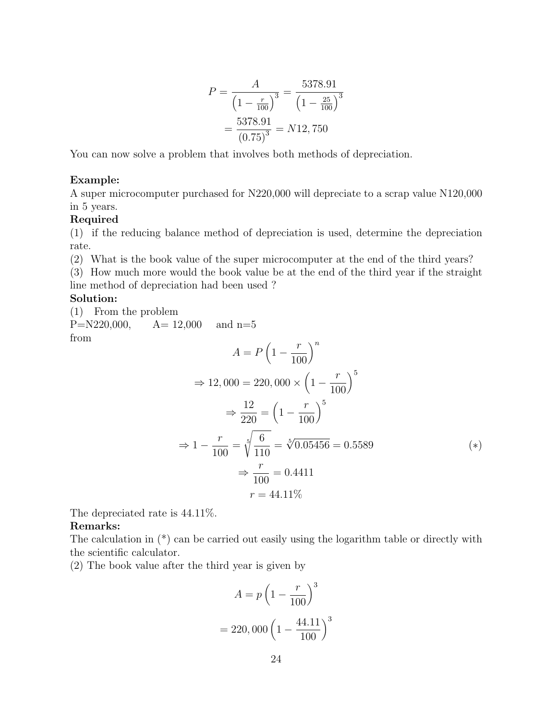$$
P = \frac{A}{\left(1 - \frac{r}{100}\right)^3} = \frac{5378.91}{\left(1 - \frac{25}{100}\right)^3} = \frac{5378.91}{\left(0.75\right)^3} = N12,750
$$

You can now solve a problem that involves both methods of depreciation.

## Example:

A super microcomputer purchased for N220,000 will depreciate to a scrap value N120,000 in 5 years.

# Required

(1) if the reducing balance method of depreciation is used, determine the depreciation rate.

(2) What is the book value of the super microcomputer at the end of the third years?

(3) How much more would the book value be at the end of the third year if the straight line method of depreciation had been used ?

# Solution:

(1) From the problem  $P=N220,000,$   $A= 12,000$  and  $n=5$ 

from

$$
A = P\left(1 - \frac{r}{100}\right)^n
$$
  
\n
$$
\Rightarrow 12,000 = 220,000 \times \left(1 - \frac{r}{100}\right)^5
$$
  
\n
$$
\Rightarrow \frac{12}{220} = \left(1 - \frac{r}{100}\right)^5
$$
  
\n
$$
\Rightarrow 1 - \frac{r}{100} = \sqrt[5]{\frac{6}{110}} = \sqrt[5]{0.05456} = 0.5589
$$
  
\n
$$
\Rightarrow \frac{r}{100} = 0.4411
$$
  
\n
$$
r = 44.11\%
$$
 (\*)

The depreciated rate is 44.11%.

## Remarks:

The calculation in (\*) can be carried out easily using the logarithm table or directly with the scientific calculator.

(2) The book value after the third year is given by

$$
A = p \left( 1 - \frac{r}{100} \right)^3
$$
  
= 220,000  $\left( 1 - \frac{44.11}{100} \right)^3$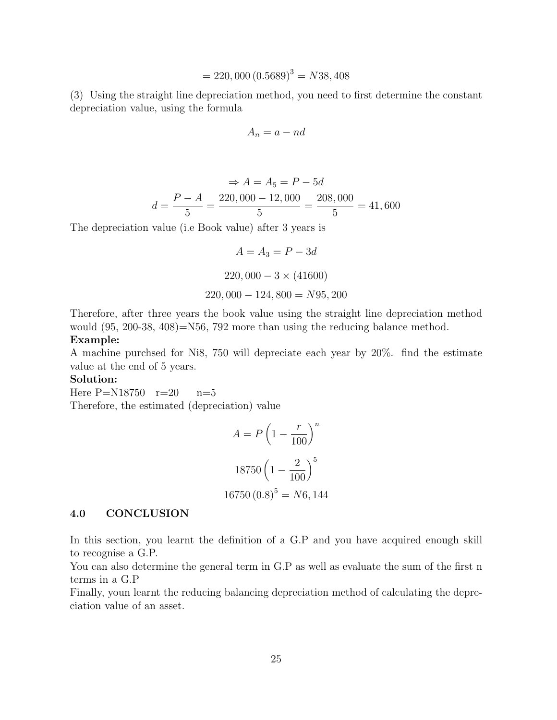$$
= 220,000 (0.5689)^3 = N38,408
$$

(3) Using the straight line depreciation method, you need to first determine the constant depreciation value, using the formula

$$
A_n = a - nd
$$

$$
\Rightarrow A = A_5 = P - 5d
$$

$$
d = \frac{P - A}{5} = \frac{220,000 - 12,000}{5} = \frac{208,000}{5} = 41,600
$$

The depreciation value (i.e Book value) after 3 years is

$$
A = A_3 = P - 3d
$$
  
220,000 - 3 × (41600)  
220,000 - 124,800 = N95,200

Therefore, after three years the book value using the straight line depreciation method would  $(95, 200-38, 408)$ =N56, 792 more than using the reducing balance method. Example:

A machine purchsed for Ni8, 750 will depreciate each year by 20%. find the estimate value at the end of 5 years.

#### Solution:

Here  $P=N18750$   $r=20$   $n=5$ Therefore, the estimated (depreciation) value

$$
A = P\left(1 - \frac{r}{100}\right)^n
$$
  
18750  $\left(1 - \frac{2}{100}\right)^5$   
16750  $(0.8)^5 = N6, 144$ 

#### 4.0 CONCLUSION

In this section, you learnt the definition of a G.P and you have acquired enough skill to recognise a G.P.

You can also determine the general term in G.P as well as evaluate the sum of the first n terms in a G.P

Finally, youn learnt the reducing balancing depreciation method of calculating the depreciation value of an asset.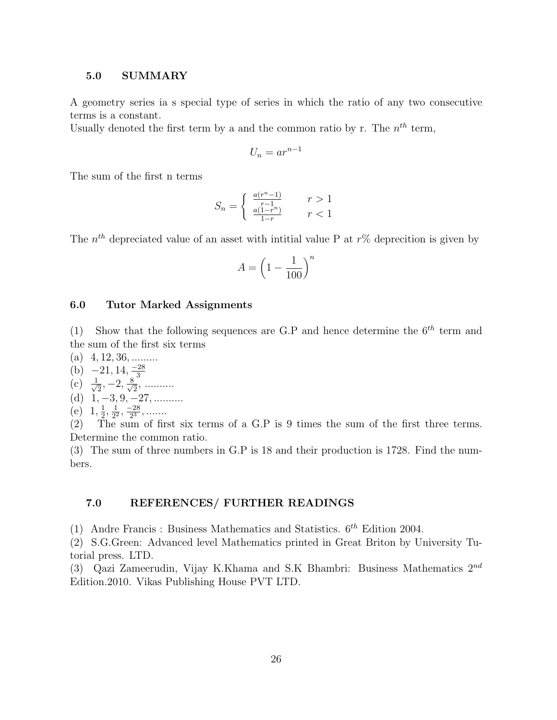## 5.0 SUMMARY

A geometry series ia s special type of series in which the ratio of any two consecutive terms is a constant.

Usually denoted the first term by a and the common ratio by r. The  $n<sup>th</sup>$  term,

$$
U_n = ar^{n-1}
$$

The sum of the first n terms

$$
S_n = \begin{cases} \frac{a(r^n - 1)}{r - 1} & r > 1\\ \frac{a(1 - r^n)}{1 - r} & r < 1 \end{cases}
$$

The  $n<sup>th</sup>$  depreciated value of an asset with intitial value P at  $r\%$  deprecition is given by

$$
A = \left(1 - \frac{1}{100}\right)^n
$$

## 6.0 Tutor Marked Assignments

(1) Show that the following sequences are G.P and hence determine the  $6^{th}$  term and the sum of the first six terms

- (a)  $4, 12, 36, \ldots$
- (b)  $-21, 14, \frac{-28}{3}$
- (c)  $\frac{1}{\sqrt{2}}, -2, \frac{8}{\sqrt{2}},$  $\frac{1}{2}, -2, \frac{8}{\sqrt{2}}$  $\frac{1}{2}$ , ..........
- (d)  $1, -3, 9, -27, \dots$
- (e)  $1, \frac{1}{2}$  $\frac{1}{2}$ ,  $\frac{1}{2^2}$  $\frac{1}{2^2}, \frac{-28}{2^3}$  $\frac{-28}{2^3}, \dots$

(2) The sum of first six terms of a G.P is 9 times the sum of the first three terms. Determine the common ratio.

(3) The sum of three numbers in G.P is 18 and their production is 1728. Find the numbers.

## 7.0 REFERENCES/ FURTHER READINGS

(1) Andre Francis : Business Mathematics and Statistics.  $6^{th}$  Edition 2004.

(2) S.G.Green: Advanced level Mathematics printed in Great Briton by University Tutorial press. LTD.

(3) Qazi Zameerudin, Vijay K.Khama and S.K Bhambri: Business Mathematics  $2^{nd}$ Edition.2010. Vikas Publishing House PVT LTD.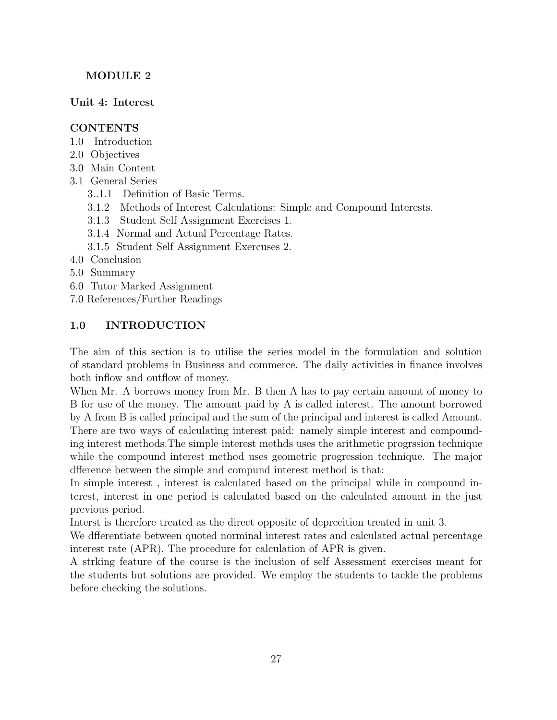# MODULE 2

# Unit 4: Interest

# CONTENTS

- 1.0 Introduction
- 2.0 Objectives
- 3.0 Main Content
- 3.1 General Series
	- 3..1.1 Definition of Basic Terms.
	- 3.1.2 Methods of Interest Calculations: Simple and Compound Interests.
	- 3.1.3 Student Self Assignment Exercises 1.
	- 3.1.4 Normal and Actual Percentage Rates.
	- 3.1.5 Student Self Assignment Exercuses 2.
- 4.0 Conclusion
- 5.0 Summary
- 6.0 Tutor Marked Assignment
- 7.0 References/Further Readings

# 1.0 INTRODUCTION

The aim of this section is to utilise the series model in the formulation and solution of standard problems in Business and commerce. The daily activities in finance involves both inflow and outflow of money.

When Mr. A borrows money from Mr. B then A has to pay certain amount of money to B for use of the money. The amount paid by A is called interest. The amount borrowed by A from B is called principal and the sum of the principal and interest is called Amount. There are two ways of calculating interest paid: namely simple interest and compounding interest methods.The simple interest methds uses the arithmetic progrssion technique while the compound interest method uses geometric progression technique. The major dfference between the simple and compund interest method is that:

In simple interest , interest is calculated based on the principal while in compound interest, interest in one period is calculated based on the calculated amount in the just previous period.

Interst is therefore treated as the direct opposite of deprecition treated in unit 3.

We dfferentiate between quoted norminal interest rates and calculated actual percentage interest rate (APR). The procedure for calculation of APR is given.

A strking feature of the course is the inclusion of self Assessment exercises meant for the students but solutions are provided. We employ the students to tackle the problems before checking the solutions.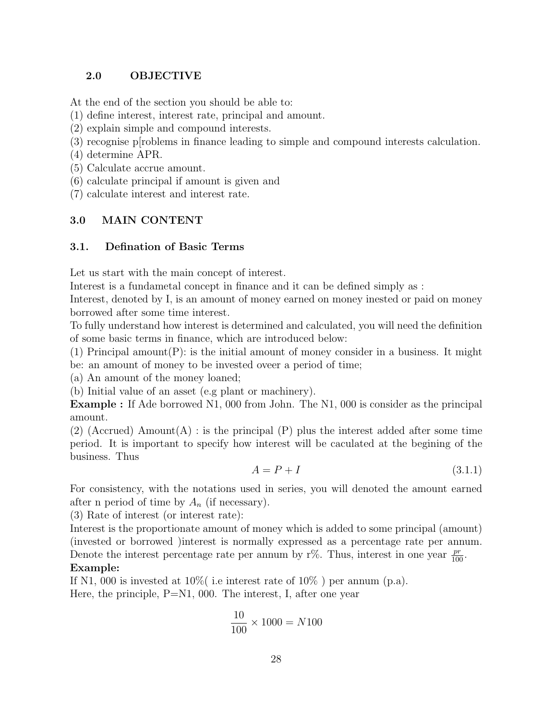# 2.0 OBJECTIVE

At the end of the section you should be able to:

- (1) define interest, interest rate, principal and amount.
- (2) explain simple and compound interests.
- (3) recognise p[roblems in finance leading to simple and compound interests calculation.
- (4) determine APR.
- (5) Calculate accrue amount.
- (6) calculate principal if amount is given and

(7) calculate interest and interest rate.

# 3.0 MAIN CONTENT

# 3.1. Defination of Basic Terms

Let us start with the main concept of interest.

Interest is a fundametal concept in finance and it can be defined simply as :

Interest, denoted by I, is an amount of money earned on money inested or paid on money borrowed after some time interest.

To fully understand how interest is determined and calculated, you will need the definition of some basic terms in finance, which are introduced below:

(1) Principal amount  $(P)$ : is the initial amount of money consider in a business. It might be: an amount of money to be invested oveer a period of time;

(a) An amount of the money loaned;

(b) Initial value of an asset (e.g plant or machinery).

Example : If Ade borrowed N1, 000 from John. The N1, 000 is consider as the principal amount.

(2) (Accrued) Amount(A) : is the principal (P) plus the interest added after some time period. It is important to specify how interest will be caculated at the begining of the business. Thus

$$
A = P + I \tag{3.1.1}
$$

For consistency, with the notations used in series, you will denoted the amount earned after n period of time by  $A_n$  (if necessary).

(3) Rate of interest (or interest rate):

Interest is the proportionate amount of money which is added to some principal (amount) (invested or borrowed )interest is normally expressed as a percentage rate per annum. Denote the interest percentage rate per annum by r%. Thus, interest in one year  $\frac{pr}{100}$ . Example:

If N1, 000 is invested at  $10\%$  i.e interest rate of  $10\%$  ) per annum (p.a). Here, the principle, P=N1, 000. The interest, I, after one year

$$
\frac{10}{100} \times 1000 = N100
$$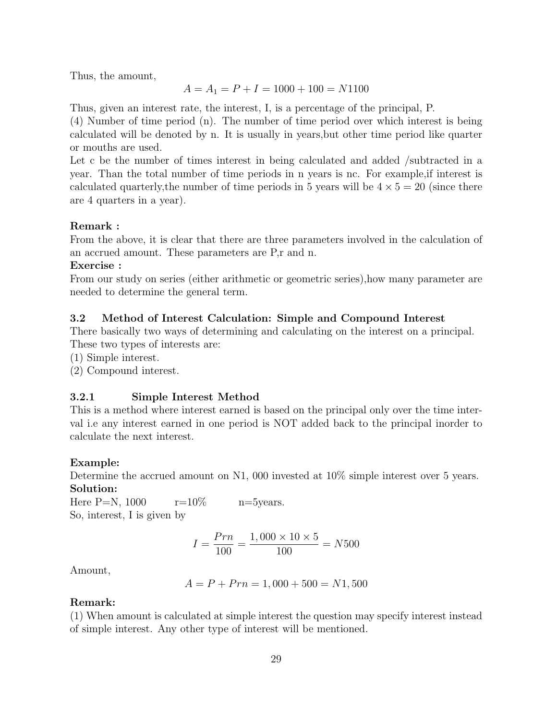Thus, the amount,

$$
A = A_1 = P + I = 1000 + 100 = N1100
$$

Thus, given an interest rate, the interest, I, is a percentage of the principal, P.

(4) Number of time period (n). The number of time period over which interest is being calculated will be denoted by n. It is usually in years,but other time period like quarter or mouths are used.

Let c be the number of times interest in being calculated and added /subtracted in a year. Than the total number of time periods in n years is nc. For example,if interest is calculated quarterly, the number of time periods in 5 years will be  $4 \times 5 = 20$  (since there are 4 quarters in a year).

# Remark :

From the above, it is clear that there are three parameters involved in the calculation of an accrued amount. These parameters are P,r and n.

# Exercise :

From our study on series (either arithmetic or geometric series),how many parameter are needed to determine the general term.

# 3.2 Method of Interest Calculation: Simple and Compound Interest

There basically two ways of determining and calculating on the interest on a principal. These two types of interests are:

(1) Simple interest.

(2) Compound interest.

# 3.2.1 Simple Interest Method

This is a method where interest earned is based on the principal only over the time interval i.e any interest earned in one period is NOT added back to the principal inorder to calculate the next interest.

# Example:

Determine the accrued amount on N1, 000 invested at 10% simple interest over 5 years. Solution:

Here P=N,  $1000 \text{ }$  r= $10\% \text{ }$  n= $5$ years. So, interest, I is given by

$$
I = \frac{Prn}{100} = \frac{1,000 \times 10 \times 5}{100} = N500
$$

Amount,

$$
A = P + Prn = 1,000 + 500 = N1,500
$$

# Remark:

(1) When amount is calculated at simple interest the question may specify interest instead of simple interest. Any other type of interest will be mentioned.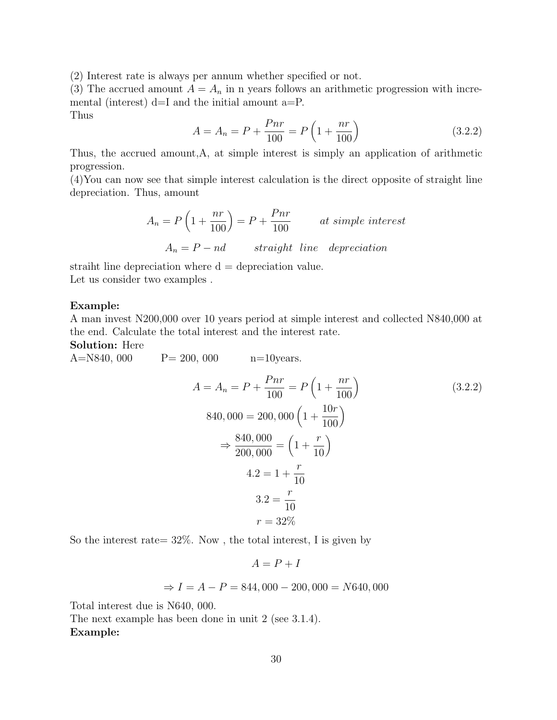(2) Interest rate is always per annum whether specified or not.

(3) The accrued amount  $A = A_n$  in n years follows an arithmetic progression with incremental (interest) d=I and the initial amount a=P.

Thus

$$
A = A_n = P + \frac{Pnr}{100} = P\left(1 + \frac{nr}{100}\right)
$$
\n(3.2.2)

Thus, the accrued amount,A, at simple interest is simply an application of arithmetic progression.

(4)You can now see that simple interest calculation is the direct opposite of straight line depreciation. Thus, amount

$$
A_n = P\left(1 + \frac{nr}{100}\right) = P + \frac{Pnr}{100}
$$
 at simple interest  

$$
A_n = P - nd
$$
 straight line depreciation

straiht line depreciation where  $d =$  depreciation value. Let us consider two examples .

# Example:

A man invest N200,000 over 10 years period at simple interest and collected N840,000 at the end. Calculate the total interest and the interest rate.

Solution: Here

A=N840, 000  $P = 200, 000$   $n=10$ years.

$$
A = A_n = P + \frac{Pnr}{100} = P\left(1 + \frac{nr}{100}\right)
$$
\n
$$
840,000 = 200,000\left(1 + \frac{10r}{100}\right)
$$
\n
$$
\Rightarrow \frac{840,000}{200,000} = \left(1 + \frac{r}{10}\right)
$$
\n
$$
4.2 = 1 + \frac{r}{10}
$$
\n
$$
3.2 = \frac{r}{10}
$$
\n
$$
r = 32\%
$$
\n(3.2.2)

So the interest rate =  $32\%$ . Now, the total interest, I is given by

$$
A = P + I
$$

$$
\Rightarrow I = A - P = 844,000 - 200,000 = N640,000
$$

Total interest due is N640, 000.

The next example has been done in unit 2 (see 3.1.4). Example: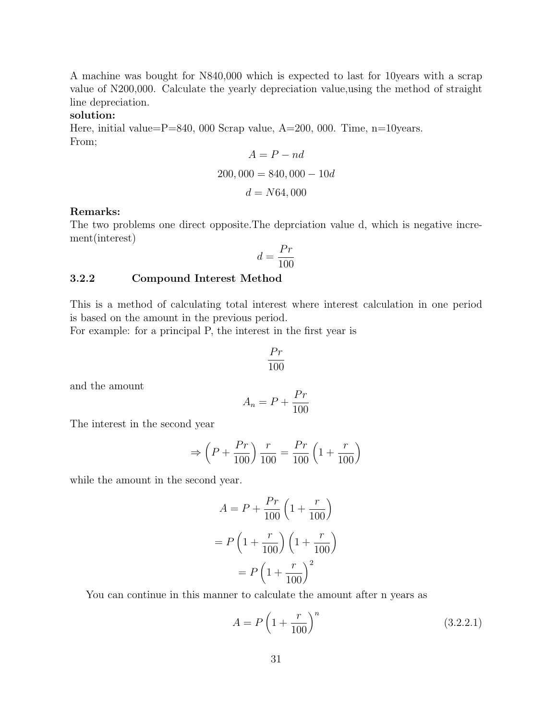A machine was bought for N840,000 which is expected to last for 10years with a scrap value of N200,000. Calculate the yearly depreciation value,using the method of straight line depreciation.

## solution:

Here, initial value= $P=840$ , 000 Scrap value, A=200, 000. Time, n=10years. From;

$$
A = P - nd
$$
  
200, 000 = 840, 000 - 10d  

$$
d = N64, 000
$$

## Remarks:

The two problems one direct opposite.The deprciation value d, which is negative increment(interest)

$$
d = \frac{Pr}{100}
$$

## 3.2.2 Compound Interest Method

This is a method of calculating total interest where interest calculation in one period is based on the amount in the previous period.

For example: for a principal P, the interest in the first year is

$$
\frac{Pr}{100}
$$

and the amount

$$
A_n = P + \frac{Pr}{100}
$$

The interest in the second year

$$
\Rightarrow \left(P + \frac{Pr}{100}\right) \frac{r}{100} = \frac{Pr}{100} \left(1 + \frac{r}{100}\right)
$$

while the amount in the second year.

$$
A = P + \frac{Pr}{100} \left( 1 + \frac{r}{100} \right)
$$

$$
= P \left( 1 + \frac{r}{100} \right) \left( 1 + \frac{r}{100} \right)
$$

$$
= P \left( 1 + \frac{r}{100} \right)^2
$$

You can continue in this manner to calculate the amount after n years as

$$
A = P \left( 1 + \frac{r}{100} \right)^n \tag{3.2.2.1}
$$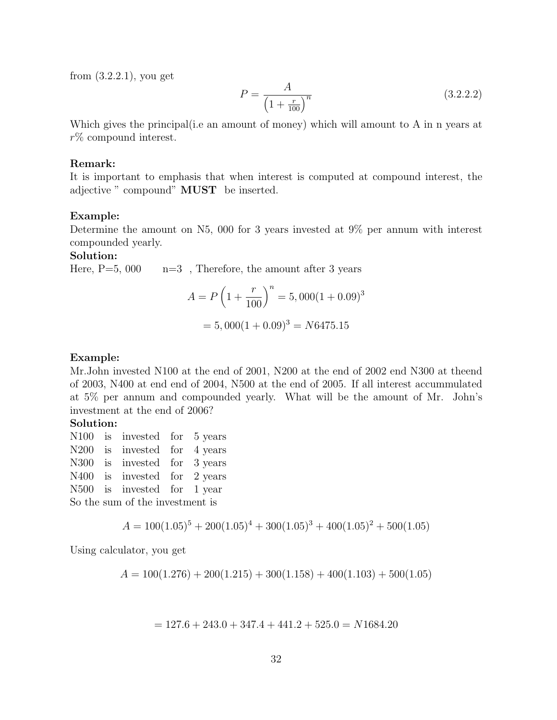from (3.2.2.1), you get

$$
P = \frac{A}{\left(1 + \frac{r}{100}\right)^n} \tag{3.2.2.2}
$$

Which gives the principal (i.e an amount of money) which will amount to A in n years at r% compound interest.

#### Remark:

It is important to emphasis that when interest is computed at compound interest, the adjective " compound" MUST be inserted.

#### Example:

Determine the amount on N5, 000 for 3 years invested at 9% per annum with interest compounded yearly.

## Solution:

Here,  $P=5$ , 000  $n=3$ , Therefore, the amount after 3 years

$$
A = P\left(1 + \frac{r}{100}\right)^n = 5,000(1 + 0.09)^3
$$

$$
= 5,000(1 + 0.09)^3 = N6475.15
$$

#### Example:

Mr.John invested N100 at the end of 2001, N200 at the end of 2002 end N300 at theend of 2003, N400 at end end of 2004, N500 at the end of 2005. If all interest accummulated at 5% per annum and compounded yearly. What will be the amount of Mr. John's investment at the end of 2006?

#### Solution:

N100 is invested for 5 years N<sub>200</sub> is invested for 4 years N300 is invested for 3 years N400 is invested for 2 years N500 is invested for 1 year So the sum of the investment is

$$
A = 100(1.05)^5 + 200(1.05)^4 + 300(1.05)^3 + 400(1.05)^2 + 500(1.05)
$$

Using calculator, you get

$$
A = 100(1.276) + 200(1.215) + 300(1.158) + 400(1.103) + 500(1.05)
$$

 $= 127.6 + 243.0 + 347.4 + 441.2 + 525.0 = N1684.20$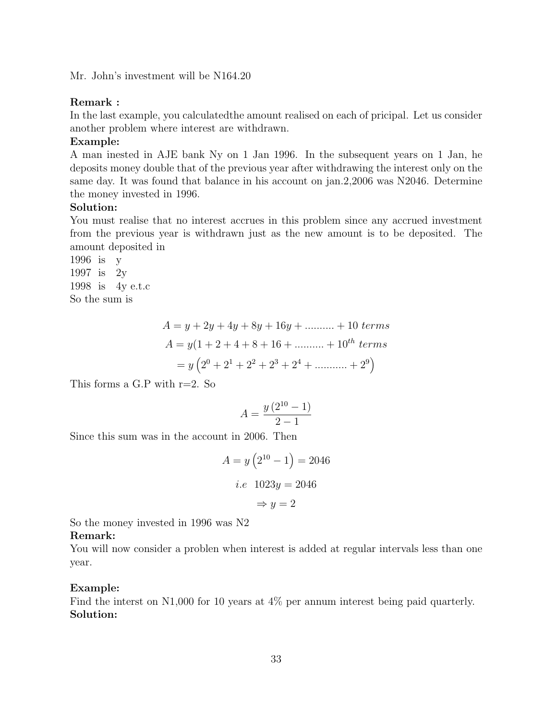Mr. John's investment will be N164.20

#### Remark :

In the last example, you calculatedthe amount realised on each of pricipal. Let us consider another problem where interest are withdrawn.

#### Example:

A man inested in AJE bank Ny on 1 Jan 1996. In the subsequent years on 1 Jan, he deposits money double that of the previous year after withdrawing the interest only on the same day. It was found that balance in his account on jan.2,2006 was N2046. Determine the money invested in 1996.

## Solution:

You must realise that no interest accrues in this problem since any accrued investment from the previous year is withdrawn just as the new amount is to be deposited. The amount deposited in

1996 is y 1997 is 2y 1998 is 4y e.t.c So the sum is

> $A = y + 2y + 4y + 8y + 16y + \dots + 10 \text{ terms}$  $A = y(1 + 2 + 4 + 8 + 16 + \dots + 10^{th} \text{ terms})$  $= y\left(2^{0} + 2^{1} + 2^{2} + 2^{3} + 2^{4} + \dots + 2^{9}\right)$

This forms a G.P with  $r=2$ . So

$$
A = \frac{y(2^{10} - 1)}{2 - 1}
$$

Since this sum was in the account in 2006. Then

$$
A = y\left(2^{10} - 1\right) = 2046
$$
  
*i.e* 
$$
1023y = 2046
$$
  

$$
\Rightarrow y = 2
$$

So the money invested in 1996 was N2

#### Remark:

You will now consider a problen when interest is added at regular intervals less than one year.

#### Example:

Find the interst on N1,000 for 10 years at 4% per annum interest being paid quarterly. Solution: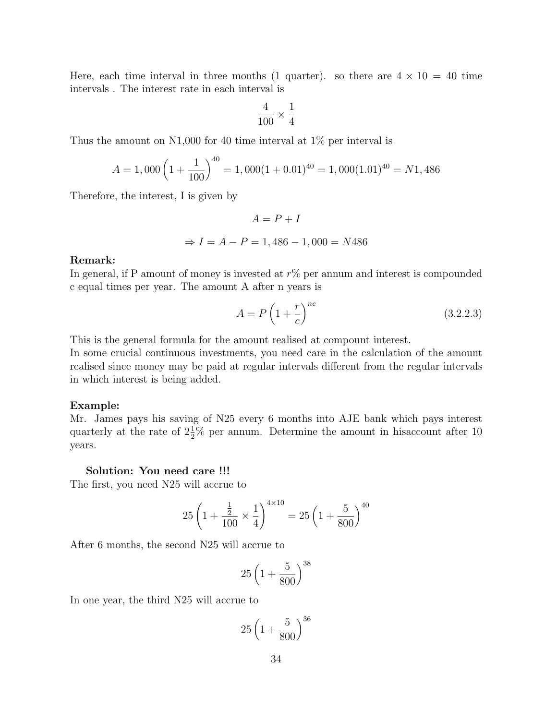Here, each time interval in three months (1 quarter). so there are  $4 \times 10 = 40$  time intervals . The interest rate in each interval is

$$
\frac{4}{100} \times \frac{1}{4}
$$

Thus the amount on N1,000 for 40 time interval at 1% per interval is

$$
A = 1,000 \left(1 + \frac{1}{100}\right)^{40} = 1,000(1 + 0.01)^{40} = 1,000(1.01)^{40} = N1,486
$$

Therefore, the interest, I is given by

$$
A = P + I
$$

$$
\Rightarrow I = A - P = 1,486 - 1,000 = N486
$$

## Remark:

In general, if P amount of money is invested at  $r\%$  per annum and interest is compounded c equal times per year. The amount A after n years is

$$
A = P\left(1 + \frac{r}{c}\right)^{nc} \tag{3.2.2.3}
$$

This is the general formula for the amount realised at compount interest.

In some crucial continuous investments, you need care in the calculation of the amount realised since money may be paid at regular intervals different from the regular intervals in which interest is being added.

#### Example:

Mr. James pays his saving of N25 every 6 months into AJE bank which pays interest quarterly at the rate of  $2\frac{1}{2}\%$  per annum. Determine the amount in his account after 10 years.

## Solution: You need care !!!

The first, you need N25 will accrue to

$$
25\left(1+\frac{\frac{1}{2}}{100}\times\frac{1}{4}\right)^{4\times10} = 25\left(1+\frac{5}{800}\right)^{40}
$$

After 6 months, the second N25 will accrue to

$$
25\left(1+\frac{5}{800}\right)^{38}
$$

In one year, the third N25 will accrue to

$$
25\left(1+\frac{5}{800}\right)^{36}
$$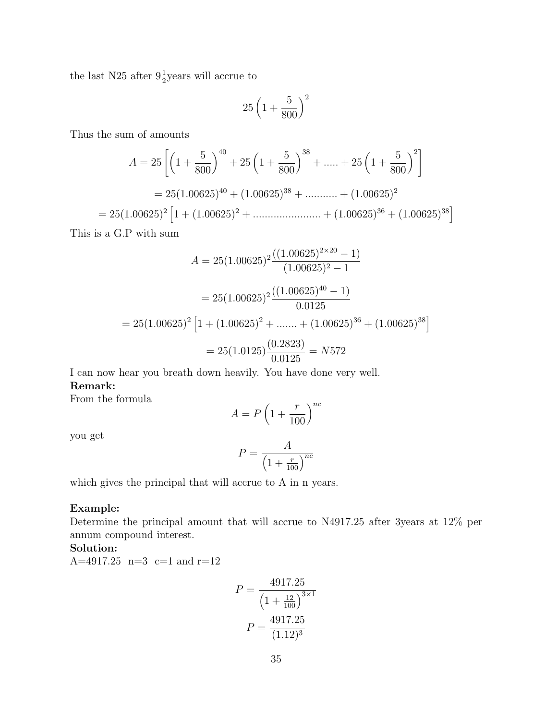the last N25 after  $9\frac{1}{2}$ years will accrue to

$$
25\left(1+\frac{5}{800}\right)^2
$$

Thus the sum of amounts

$$
A = 25 \left[ \left( 1 + \frac{5}{800} \right)^{40} + 25 \left( 1 + \frac{5}{800} \right)^{38} + \dots + 25 \left( 1 + \frac{5}{800} \right)^2 \right]
$$
  
= 25(1.00625)<sup>40</sup> + (1.00625)<sup>38</sup> + \dots + (1.00625)<sup>2</sup>  
= 25(1.00625)<sup>2</sup>  $\left[ 1 + (1.00625)^2 + \dots + (1.00625)^{36} + (1.00625)^{38} \right]$ 

This is a G.P with sum

$$
A = 25(1.00625)^{2} \frac{((1.00625)^{2 \times 20} - 1)}{(1.00625)^{2} - 1}
$$

$$
= 25(1.00625)^{2} \frac{((1.00625)^{40} - 1)}{0.0125}
$$

$$
= 25(1.00625)^{2} \left[1 + (1.00625)^{2} + \dots + (1.00625)^{36} + (1.00625)^{38}\right]
$$

$$
= 25(1.0125) \frac{(0.2823)}{0.0125} = N572
$$

I can now hear you breath down heavily. You have done very well. Remark:

From the formula

$$
A = P\left(1 + \frac{r}{100}\right)^{nc}
$$

you get

$$
P = \frac{A}{\left(1 + \frac{r}{100}\right)^{nc}}
$$

which gives the principal that will accrue to A in n years.

## Example:

Determine the principal amount that will accrue to N4917.25 after 3years at 12% per annum compound interest.

## Solution:

A=4917.25 n=3 c=1 and r=12

$$
P = \frac{4917.25}{\left(1 + \frac{12}{100}\right)^{3 \times 1}}
$$

$$
P = \frac{4917.25}{(1.12)^3}
$$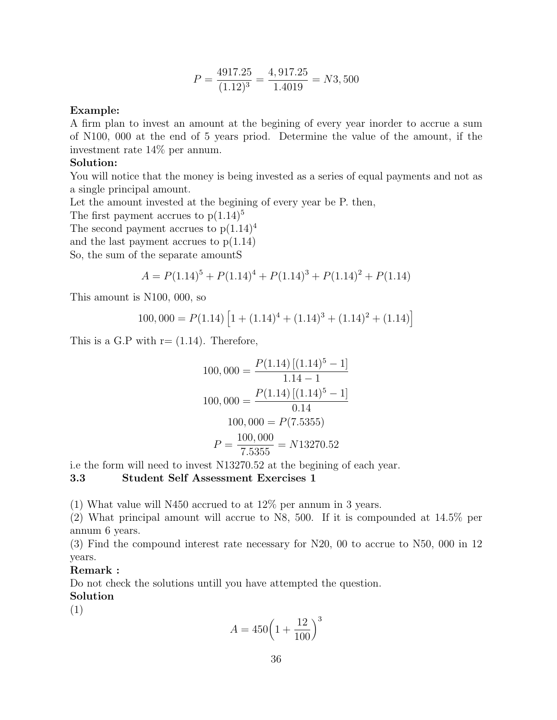$$
P = \frac{4917.25}{(1.12)^3} = \frac{4,917.25}{1.4019} = N3,500
$$

## Example:

A firm plan to invest an amount at the begining of every year inorder to accrue a sum of N100, 000 at the end of 5 years priod. Determine the value of the amount, if the investment rate 14% per annum.

# Solution:

You will notice that the money is being invested as a series of equal payments and not as a single principal amount.

Let the amount invested at the begining of every year be P. then,

The first payment accrues to  $p(1.14)^5$ 

The second payment accrues to  $p(1.14)^4$ 

and the last payment accrues to  $p(1.14)$ 

So, the sum of the separate amountS

$$
A = P(1.14)^5 + P(1.14)^4 + P(1.14)^3 + P(1.14)^2 + P(1.14)
$$

This amount is N100, 000, so

$$
100,000 = P(1.14) \left[ 1 + (1.14)^4 + (1.14)^3 + (1.14)^2 + (1.14) \right]
$$

This is a G.P with  $r = (1.14)$ . Therefore,

$$
100,000 = \frac{P(1.14) [(1.14)^5 - 1]}{1.14 - 1}
$$

$$
100,000 = \frac{P(1.14) [(1.14)^5 - 1]}{0.14}
$$

$$
100,000 = P(7.5355)
$$

$$
P = \frac{100,000}{7.5355} = N13270.52
$$

i.e the form will need to invest N13270.52 at the begining of each year.

## 3.3 Student Self Assessment Exercises 1

(1) What value will N450 accrued to at 12% per annum in 3 years.

(2) What principal amount will accrue to N8, 500. If it is compounded at 14.5% per annum 6 years.

(3) Find the compound interest rate necessary for N20, 00 to accrue to N50, 000 in 12 years.

## Remark :

Do not check the solutions untill you have attempted the question.

Solution

(1)

$$
A = 450 \left( 1 + \frac{12}{100} \right)^3
$$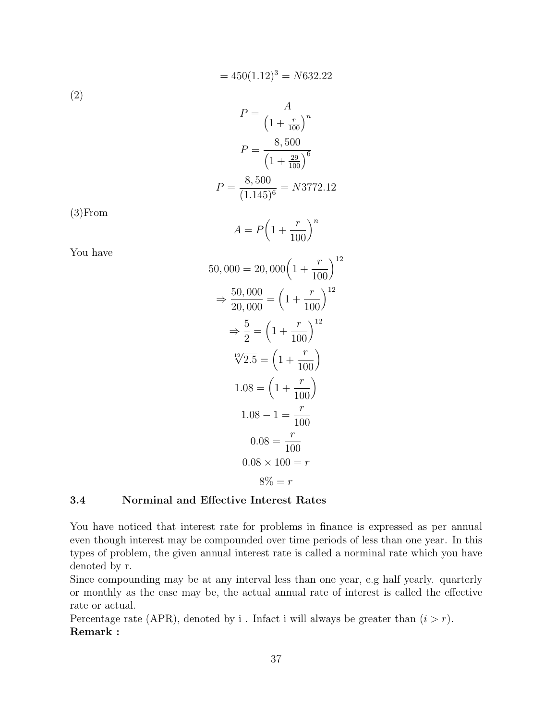$$
= 450(1.12)^3 = N632.22
$$
  
(2)

$$
P = \frac{1}{\left(1 + \frac{r}{100}\right)^n}
$$

$$
P = \frac{8,500}{\left(1 + \frac{29}{100}\right)^6}
$$

$$
P = \frac{8,500}{(1.145)^6} = N3772.12
$$

(3)From

$$
A = P\left(1 + \frac{r}{100}\right)^n
$$

You have

$$
50,000 = 20,000 \left(1 + \frac{r}{100}\right)^{12}
$$

$$
\Rightarrow \frac{50,000}{20,000} = \left(1 + \frac{r}{100}\right)^{12}
$$

$$
\Rightarrow \frac{5}{2} = \left(1 + \frac{r}{100}\right)^{12}
$$

$$
\frac{12}{2.5} = \left(1 + \frac{r}{100}\right)
$$

$$
1.08 = \left(1 + \frac{r}{100}\right)
$$

$$
1.08 - 1 = \frac{r}{100}
$$

$$
0.08 = \frac{r}{100}
$$

$$
0.08 \times 100 = r
$$

$$
8\% = r
$$

# 3.4 Norminal and Effective Interest Rates

You have noticed that interest rate for problems in finance is expressed as per annual even though interest may be compounded over time periods of less than one year. In this types of problem, the given annual interest rate is called a norminal rate which you have denoted by r.

Since compounding may be at any interval less than one year, e.g half yearly. quarterly or monthly as the case may be, the actual annual rate of interest is called the effective rate or actual.

Percentage rate (APR), denoted by i. Infact i will always be greater than  $(i > r)$ . Remark :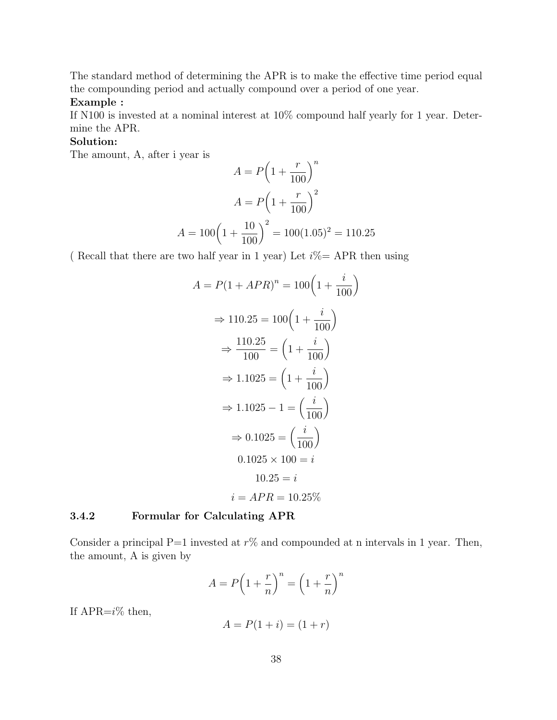The standard method of determining the APR is to make the effective time period equal the compounding period and actually compound over a period of one year.

# Example :

If N100 is invested at a nominal interest at 10% compound half yearly for 1 year. Determine the APR.

# Solution:

The amount, A, after i year is

$$
A = P\left(1 + \frac{r}{100}\right)^n
$$

$$
A = P\left(1 + \frac{r}{100}\right)^2
$$

$$
A = 100\left(1 + \frac{10}{100}\right)^2 = 100(1.05)^2 = 110.25
$$

( Recall that there are two half year in 1 year) Let  $i\% = APR$  then using

$$
A = P(1 + APR)^n = 100\left(1 + \frac{i}{100}\right)
$$

$$
\Rightarrow 110.25 = 100\left(1 + \frac{i}{100}\right)
$$

$$
\Rightarrow \frac{110.25}{100} = \left(1 + \frac{i}{100}\right)
$$

$$
\Rightarrow 1.1025 = \left(1 + \frac{i}{100}\right)
$$

$$
\Rightarrow 1.1025 - 1 = \left(\frac{i}{100}\right)
$$

$$
\Rightarrow 0.1025 = \left(\frac{i}{100}\right)
$$

$$
0.1025 \times 100 = i
$$

$$
10.25 = i
$$

$$
i = APR = 10.25\%
$$

# 3.4.2 Formular for Calculating APR

Consider a principal P=1 invested at  $r\%$  and compounded at n intervals in 1 year. Then, the amount, A is given by

$$
A = P\left(1 + \frac{r}{n}\right)^n = \left(1 + \frac{r}{n}\right)^n
$$

If APR= $i\%$  then,

$$
A = P(1 + i) = (1 + r)
$$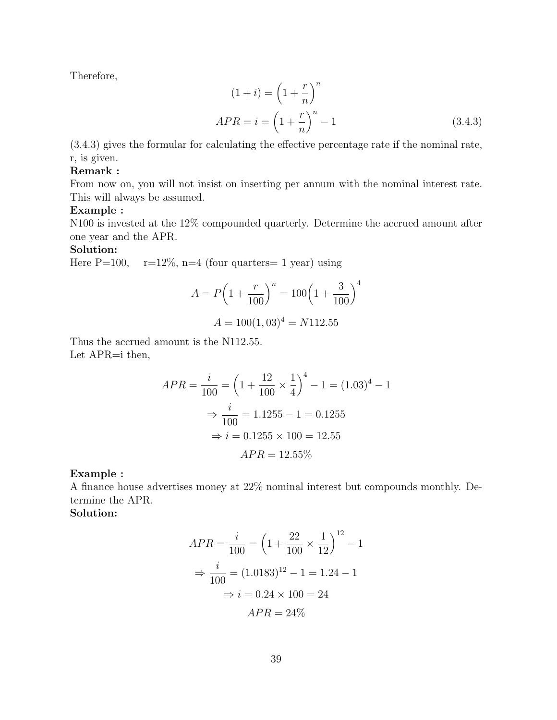Therefore,

$$
(1+i) = \left(1 + \frac{r}{n}\right)^n
$$
  
APR =  $i = \left(1 + \frac{r}{n}\right)^n - 1$  (3.4.3)

(3.4.3) gives the formular for calculating the effective percentage rate if the nominal rate, r, is given.

## Remark :

From now on, you will not insist on inserting per annum with the nominal interest rate. This will always be assumed.

## Example :

N100 is invested at the 12% compounded quarterly. Determine the accrued amount after one year and the APR.

# Solution:

Here  $P=100$ ,  $r=12\%$ ,  $n=4$  (four quarters = 1 year) using

$$
A = P\left(1 + \frac{r}{100}\right)^n = 100\left(1 + \frac{3}{100}\right)^4
$$

$$
A = 100(1, 03)^4 = N112.55
$$

Thus the accrued amount is the N112.55. Let APR=i then,

$$
APR = \frac{i}{100} = \left(1 + \frac{12}{100} \times \frac{1}{4}\right)^4 - 1 = (1.03)^4 - 1
$$

$$
\Rightarrow \frac{i}{100} = 1.1255 - 1 = 0.1255
$$

$$
\Rightarrow i = 0.1255 \times 100 = 12.55
$$

$$
APR = 12.55\%
$$

Example :

A finance house advertises money at 22% nominal interest but compounds monthly. Determine the APR.

Solution:

$$
APR = \frac{i}{100} = \left(1 + \frac{22}{100} \times \frac{1}{12}\right)^{12} - 1
$$

$$
\Rightarrow \frac{i}{100} = (1.0183)^{12} - 1 = 1.24 - 1
$$

$$
\Rightarrow i = 0.24 \times 100 = 24
$$

$$
APR = 24\%
$$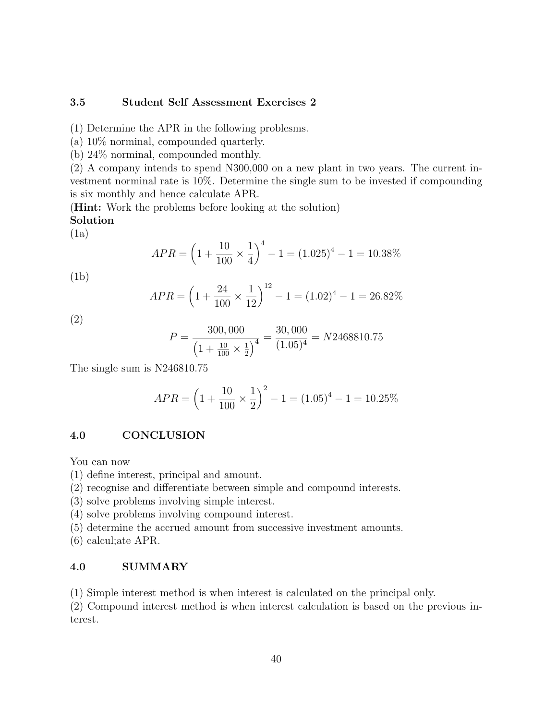# 3.5 Student Self Assessment Exercises 2

(1) Determine the APR in the following problesms.

(a) 10% norminal, compounded quarterly.

(b) 24% norminal, compounded monthly.

(2) A company intends to spend N300,000 on a new plant in two years. The current investment norminal rate is 10%. Determine the single sum to be invested if compounding is six monthly and hence calculate APR.

(Hint: Work the problems before looking at the solution) Solution

(1a)

$$
APR = \left(1 + \frac{10}{100} \times \frac{1}{4}\right)^4 - 1 = (1.025)^4 - 1 = 10.38\%
$$

(1b)

$$
APR = \left(1 + \frac{24}{100} \times \frac{1}{12}\right)^{12} - 1 = (1.02)^{4} - 1 = 26.82\%
$$

(2)

$$
P = \frac{300,000}{\left(1 + \frac{10}{100} \times \frac{1}{2}\right)^4} = \frac{30,000}{(1.05)^4} = N2468810.75
$$

The single sum is N246810.75

$$
APR = \left(1 + \frac{10}{100} \times \frac{1}{2}\right)^2 - 1 = (1.05)^4 - 1 = 10.25\%
$$

# 4.0 CONCLUSION

You can now

- (1) define interest, principal and amount.
- (2) recognise and differentiate between simple and compound interests.
- (3) solve problems involving simple interest.
- (4) solve problems involving compound interest.
- (5) determine the accrued amount from successive investment amounts.
- (6) calcul;ate APR.

# 4.0 SUMMARY

(1) Simple interest method is when interest is calculated on the principal only.

(2) Compound interest method is when interest calculation is based on the previous interest.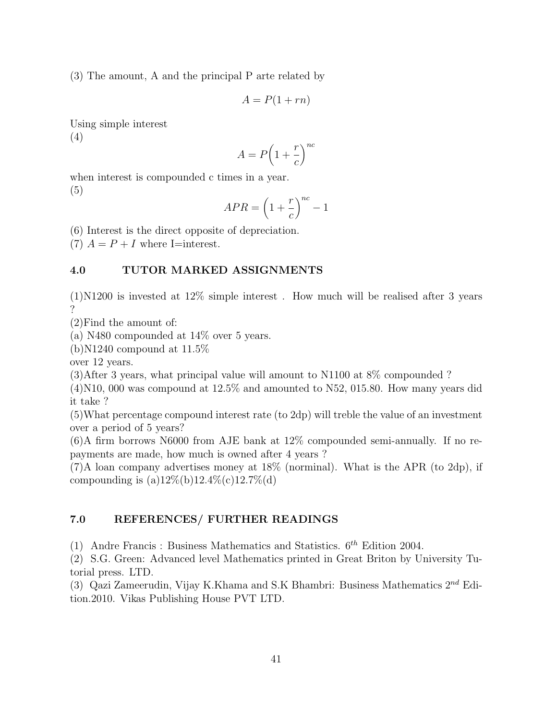(3) The amount, A and the principal P arte related by

$$
A = P(1 + rn)
$$

Using simple interest (4)

$$
A = P\left(1 + \frac{r}{c}\right)^{nc}
$$

when interest is compounded c times in a year. (5)

$$
APR = \left(1 + \frac{r}{c}\right)^{nc} - 1
$$

(6) Interest is the direct opposite of depreciation.

(7)  $A = P + I$  where I=interest.

# 4.0 TUTOR MARKED ASSIGNMENTS

(1)N1200 is invested at 12% simple interest . How much will be realised after 3 years ?

(2)Find the amount of:

(a) N480 compounded at 14% over 5 years.

 $(b)$ N1240 compound at 11.5\%

over 12 years.

(3)After 3 years, what principal value will amount to N1100 at 8% compounded ?

 $(4)$ N10, 000 was compound at 12.5% and amounted to N52, 015.80. How many years did it take ?

(5)What percentage compound interest rate (to 2dp) will treble the value of an investment over a period of 5 years?

(6)A firm borrows N6000 from AJE bank at 12% compounded semi-annually. If no repayments are made, how much is owned after 4 years ?

(7)A loan company advertises money at 18% (norminal). What is the APR (to 2dp), if compounding is  $(a)12\%$ (b)12.4\% $(c)12.7\%$ (d)

# 7.0 REFERENCES/ FURTHER READINGS

(1) Andre Francis : Business Mathematics and Statistics.  $6^{th}$  Edition 2004.

(2) S.G. Green: Advanced level Mathematics printed in Great Briton by University Tutorial press. LTD.

(3) Qazi Zameerudin, Vijay K.Khama and S.K Bhambri: Business Mathematics  $2^{nd}$  Edition.2010. Vikas Publishing House PVT LTD.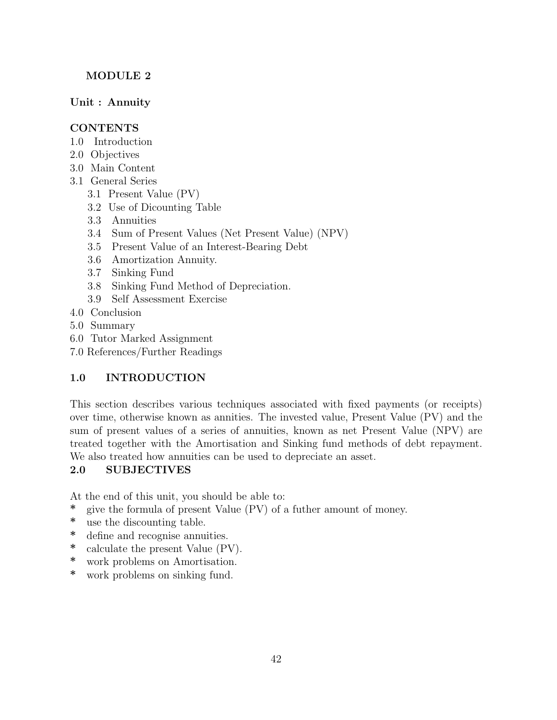# MODULE 2

Unit : Annuity

# CONTENTS

- 1.0 Introduction
- 2.0 Objectives
- 3.0 Main Content
- 3.1 General Series
	- 3.1 Present Value (PV)
	- 3.2 Use of Dicounting Table
	- 3.3 Annuities
	- 3.4 Sum of Present Values (Net Present Value) (NPV)
	- 3.5 Present Value of an Interest-Bearing Debt
	- 3.6 Amortization Annuity.
	- 3.7 Sinking Fund
	- 3.8 Sinking Fund Method of Depreciation.
	- 3.9 Self Assessment Exercise
- 4.0 Conclusion
- 5.0 Summary
- 6.0 Tutor Marked Assignment
- 7.0 References/Further Readings

# 1.0 INTRODUCTION

This section describes various techniques associated with fixed payments (or receipts) over time, otherwise known as annities. The invested value, Present Value (PV) and the sum of present values of a series of annuities, known as net Present Value (NPV) are treated together with the Amortisation and Sinking fund methods of debt repayment. We also treated how annuities can be used to depreciate an asset.

# 2.0 SUBJECTIVES

At the end of this unit, you should be able to:

- \* give the formula of present Value (PV) of a futher amount of money.
- \* use the discounting table.
- \* define and recognise annuities.
- \* calculate the present Value (PV).
- \* work problems on Amortisation.
- \* work problems on sinking fund.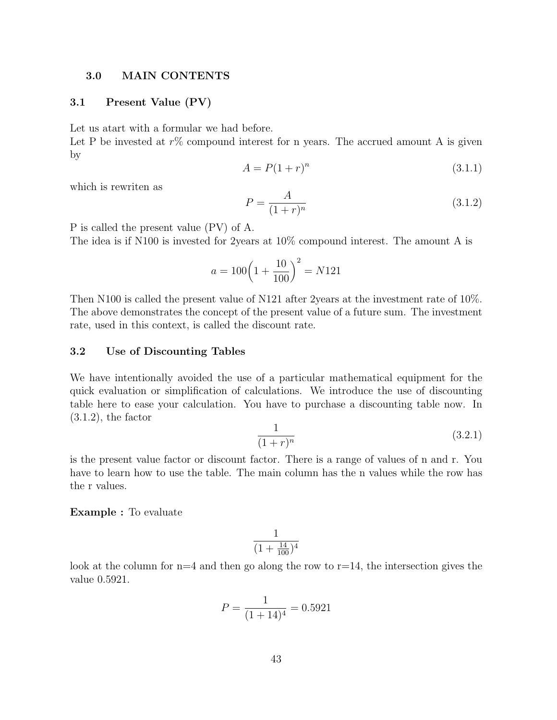## 3.0 MAIN CONTENTS

## 3.1 Present Value (PV)

Let us atart with a formular we had before.

Let P be invested at  $r\%$  compound interest for n years. The accrued amount A is given by

$$
A = P(1+r)^n \tag{3.1.1}
$$

which is rewriten as

$$
P = \frac{A}{(1+r)^n} \tag{3.1.2}
$$

P is called the present value (PV) of A.

The idea is if N100 is invested for 2years at 10% compound interest. The amount A is

$$
a = 100\left(1 + \frac{10}{100}\right)^2 = N121
$$

Then N100 is called the present value of N121 after 2years at the investment rate of 10%. The above demonstrates the concept of the present value of a future sum. The investment rate, used in this context, is called the discount rate.

## 3.2 Use of Discounting Tables

We have intentionally avoided the use of a particular mathematical equipment for the quick evaluation or simplification of calculations. We introduce the use of discounting table here to ease your calculation. You have to purchase a discounting table now. In  $(3.1.2)$ , the factor

$$
\frac{1}{(1+r)^n} \tag{3.2.1}
$$

is the present value factor or discount factor. There is a range of values of n and r. You have to learn how to use the table. The main column has the n values while the row has the r values.

#### Example : To evaluate

$$
\frac{1}{(1+\frac{14}{100})^4}
$$

look at the column for  $n=4$  and then go along the row to  $r=14$ , the intersection gives the value 0.5921.

$$
P = \frac{1}{(1+14)^4} = 0.5921
$$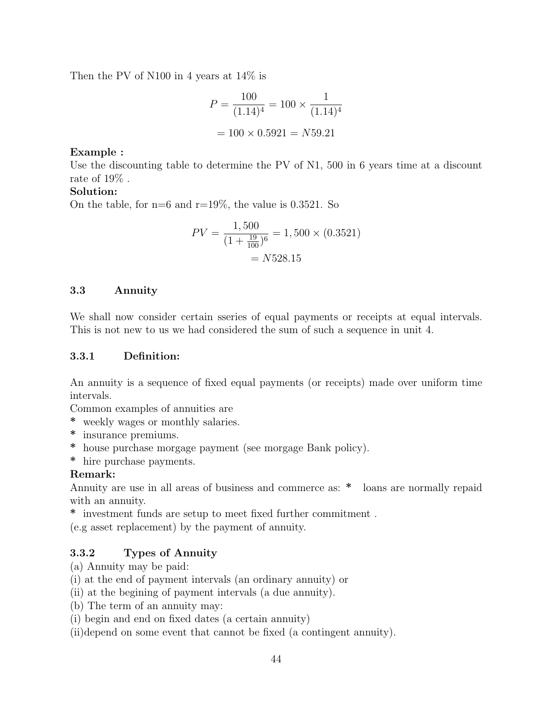Then the PV of N100 in 4 years at 14% is

$$
P = \frac{100}{(1.14)^4} = 100 \times \frac{1}{(1.14)^4}
$$

$$
= 100 \times 0.5921 = N59.21
$$

## Example :

Use the discounting table to determine the PV of N1, 500 in 6 years time at a discount rate of 19% .

## Solution:

On the table, for  $n=6$  and  $r=19\%$ , the value is 0.3521. So

$$
PV = \frac{1,500}{(1 + \frac{19}{100})^6} = 1,500 \times (0.3521)
$$

$$
= N528.15
$$

# 3.3 Annuity

We shall now consider certain sseries of equal payments or receipts at equal intervals. This is not new to us we had considered the sum of such a sequence in unit 4.

# 3.3.1 Definition:

An annuity is a sequence of fixed equal payments (or receipts) made over uniform time intervals.

Common examples of annuities are

- \* weekly wages or monthly salaries.
- \* insurance premiums.
- \* house purchase morgage payment (see morgage Bank policy).
- \* hire purchase payments.

## Remark:

Annuity are use in all areas of business and commerce as: \* loans are normally repaid with an annuity.

 $\hspace{0.1mm}^*$  investment funds are setup to meet fixed further commitment .

(e.g asset replacement) by the payment of annuity.

# 3.3.2 Types of Annuity

# (a) Annuity may be paid:

- (i) at the end of payment intervals (an ordinary annuity) or
- (ii) at the begining of payment intervals (a due annuity).
- (b) The term of an annuity may:
- (i) begin and end on fixed dates (a certain annuity)

(ii)depend on some event that cannot be fixed (a contingent annuity).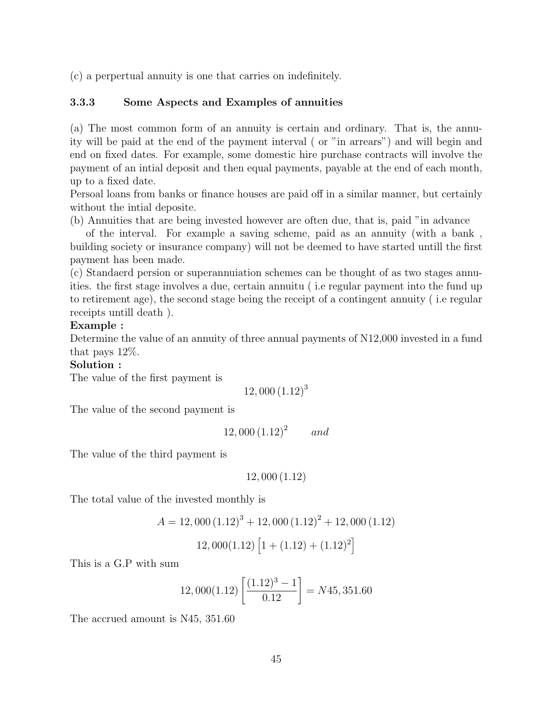(c) a perpertual annuity is one that carries on indefinitely.

# 3.3.3 Some Aspects and Examples of annuities

(a) The most common form of an annuity is certain and ordinary. That is, the annuity will be paid at the end of the payment interval ( or "in arrears") and will begin and end on fixed dates. For example, some domestic hire purchase contracts will involve the payment of an intial deposit and then equal payments, payable at the end of each month, up to a fixed date.

Persoal loans from banks or finance houses are paid off in a similar manner, but certainly without the intial deposite.

(b) Annuities that are being invested however are often due, that is, paid "in advance

of the interval. For example a saving scheme, paid as an annuity (with a bank , building society or insurance company) will not be deemed to have started untill the first payment has been made.

(c) Standaerd persion or superannuiation schemes can be thought of as two stages annuities. the first stage involves a due, certain annuitu ( i.e regular payment into the fund up to retirement age), the second stage being the receipt of a contingent annuity ( i.e regular receipts untill death ).

## Example :

Determine the value of an annuity of three annual payments of N12,000 invested in a fund that pays 12%.

Solution :

The value of the first payment is

 $12,000(1.12)^{3}$ 

The value of the second payment is

$$
12,000\,(1.12)^2 \qquad and
$$

The value of the third payment is

$$
12,000(1.12)
$$

The total value of the invested monthly is

$$
A = 12,000 (1.12)3 + 12,000 (1.12)2 + 12,000 (1.12)
$$
  

$$
12,000(1.12) [1 + (1.12) + (1.12)2]
$$

This is a G.P with sum

$$
12,000(1.12)\left[\frac{(1.12)^3 - 1}{0.12}\right] = N45,351.60
$$

The accrued amount is N45, 351.60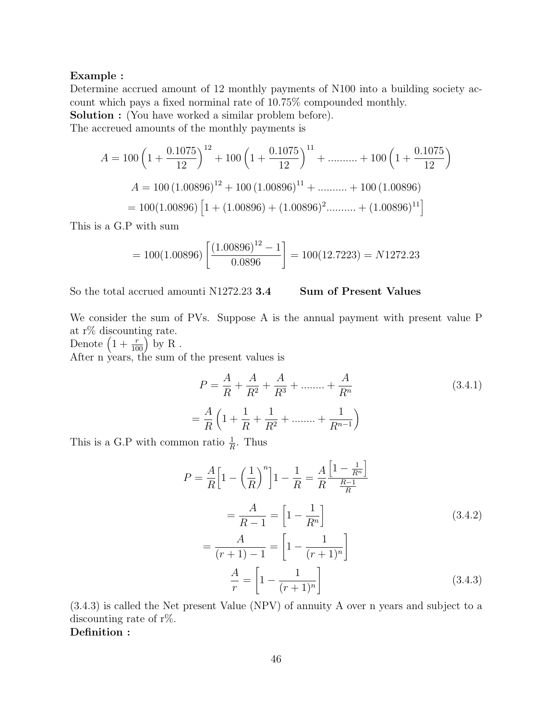#### Example :

Determine accrued amount of 12 monthly payments of N100 into a building society account which pays a fixed norminal rate of 10.75% compounded monthly.

Solution : (You have worked a similar problem before).

The accreued amounts of the monthly payments is

$$
A = 100 \left( 1 + \frac{0.1075}{12} \right)^{12} + 100 \left( 1 + \frac{0.1075}{12} \right)^{11} + \dots + 100 \left( 1 + \frac{0.1075}{12} \right)
$$
  

$$
A = 100 (1.00896)^{12} + 100 (1.00896)^{11} + \dots + 100 (1.00896)
$$
  

$$
= 100 (1.00896) \left[ 1 + (1.00896) + (1.00896)^2 + \dots + (1.00896)^{11} \right]
$$

This is a G.P with sum

$$
= 100(1.00896) \left[ \frac{(1.00896)^{12} - 1}{0.0896} \right] = 100(12.7223) = N1272.23
$$

So the total accrued amounti N1272.23 3.4 Sum of Present Values

We consider the sum of PVs. Suppose A is the annual payment with present value P at r% discounting rate.

Denote  $\left(1+\frac{r}{100}\right)$  by R. After n years, the sum of the present values is

$$
P = \frac{A}{R} + \frac{A}{R^2} + \frac{A}{R^3} + \dots + \frac{A}{R^n}
$$
(3.4.1)  

$$
= \frac{A}{R} \left( 1 + \frac{1}{R} + \frac{1}{R^2} + \dots + \frac{1}{R^{n-1}} \right)
$$

This is a G.P with common ratio  $\frac{1}{R}$ . Thus

$$
P = \frac{A}{R} \Big[ 1 - \left(\frac{1}{R}\right)^n \Big] 1 - \frac{1}{R} = \frac{A}{R} \frac{\Big[ 1 - \frac{1}{R^n} \Big]}{\frac{R-1}{R}}
$$
  
=  $\frac{A}{R-1} = \Big[ 1 - \frac{1}{R^n} \Big]$  (3.4.2)  
=  $\frac{A}{(r+1)-1} = \Big[ 1 - \frac{1}{(r+1)^n} \Big]$   
 $\frac{A}{r} = \Big[ 1 - \frac{1}{(r+1)^n} \Big]$  (3.4.3)

(3.4.3) is called the Net present Value (NPV) of annuity A over n years and subject to a discounting rate of r%.

Definition :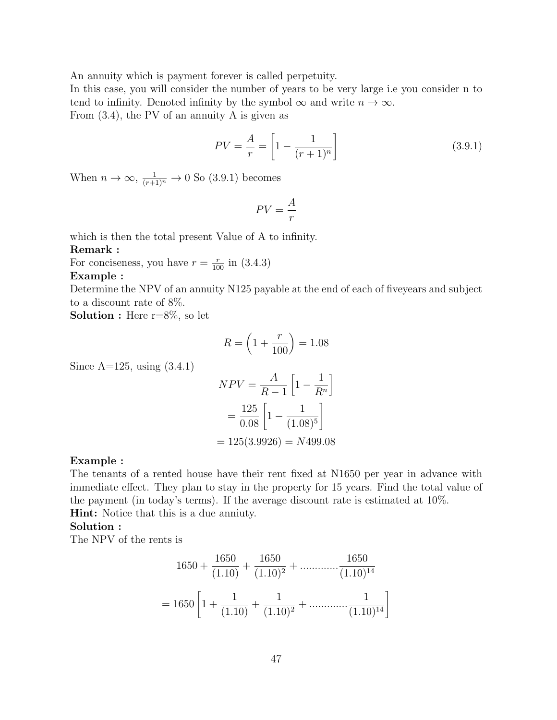An annuity which is payment forever is called perpetuity.

In this case, you will consider the number of years to be very large i.e you consider n to tend to infinity. Denoted infinity by the symbol  $\infty$  and write  $n \to \infty$ .

From (3.4), the PV of an annuity A is given as

$$
PV = \frac{A}{r} = \left[1 - \frac{1}{(r+1)^n}\right]
$$
\n(3.9.1)

When  $n \to \infty$ ,  $\frac{1}{(r+1)^n} \to 0$  So (3.9.1) becomes

$$
PV = \frac{A}{r}
$$

which is then the total present Value of A to infinity.

## Remark :

For conciseness, you have  $r = \frac{r}{100}$  in (3.4.3)

#### Example :

Determine the NPV of an annuity N125 payable at the end of each of fiveyears and subject to a discount rate of 8%.

**Solution :** Here  $r=8\%$ , so let

$$
R = \left(1 + \frac{r}{100}\right) = 1.08
$$

Since  $A=125$ , using  $(3.4.1)$ 

$$
NPV = \frac{A}{R-1} \left[ 1 - \frac{1}{R^n} \right]
$$

$$
= \frac{125}{0.08} \left[ 1 - \frac{1}{(1.08)^5} \right]
$$

$$
= 125(3.9926) = N499.08
$$

#### Example :

The tenants of a rented house have their rent fixed at N1650 per year in advance with immediate effect. They plan to stay in the property for 15 years. Find the total value of the payment (in today's terms). If the average discount rate is estimated at 10%. Hint: Notice that this is a due anniuty.

## Solution :

The NPV of the rents is

$$
1650 + \frac{1650}{(1.10)} + \frac{1650}{(1.10)^2} + \dots + \frac{1650}{(1.10)^{14}}
$$

$$
= 1650 \left[ 1 + \frac{1}{(1.10)} + \frac{1}{(1.10)^2} + \dots + \frac{1}{(1.10)^{14}} \right]
$$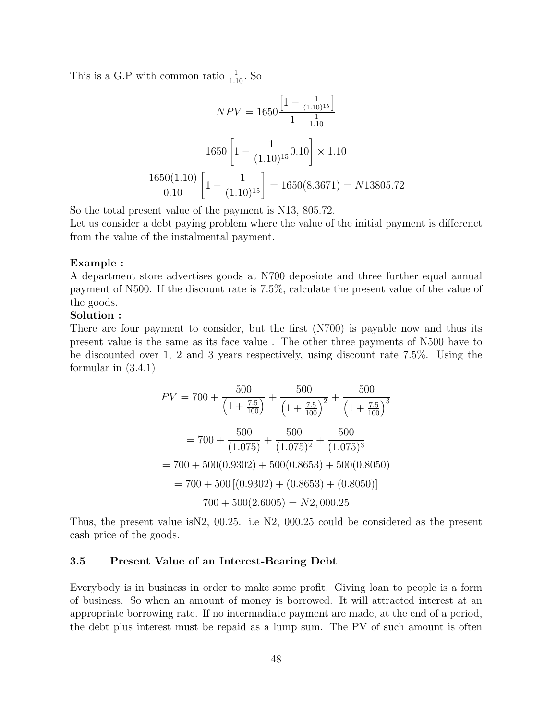This is a G.P with common ratio  $\frac{1}{1.10}$ . So

$$
NPV = 1650 \frac{\left[1 - \frac{1}{(1.10)^{15}}\right]}{1 - \frac{1}{1.10}}
$$

$$
1650 \left[1 - \frac{1}{(1.10)^{15}} 0.10\right] \times 1.10
$$

$$
\frac{1650(1.10)}{0.10} \left[1 - \frac{1}{(1.10)^{15}}\right] = 1650(8.3671) = N13805.72
$$

So the total present value of the payment is N13, 805.72.

Let us consider a debt paying problem where the value of the initial payment is differenct from the value of the instalmental payment.

#### Example :

A department store advertises goods at N700 deposiote and three further equal annual payment of N500. If the discount rate is 7.5%, calculate the present value of the value of the goods.

## Solution :

There are four payment to consider, but the first (N700) is payable now and thus its present value is the same as its face value . The other three payments of N500 have to be discounted over 1, 2 and 3 years respectively, using discount rate 7.5%. Using the formular in (3.4.1)

$$
PV = 700 + \frac{500}{\left(1 + \frac{7.5}{100}\right)} + \frac{500}{\left(1 + \frac{7.5}{100}\right)^2} + \frac{500}{\left(1 + \frac{7.5}{100}\right)^3}
$$

$$
= 700 + \frac{500}{(1.075)} + \frac{500}{(1.075)^2} + \frac{500}{(1.075)^3}
$$

$$
= 700 + 500(0.9302) + 500(0.8653) + 500(0.8050)
$$

$$
= 700 + 500\left[(0.9302) + (0.8653) + (0.8050)\right]
$$

$$
700 + 500(2.6005) = N2,000.25
$$

Thus, the present value isN2, 00.25. i.e N2, 000.25 could be considered as the present cash price of the goods.

## 3.5 Present Value of an Interest-Bearing Debt

Everybody is in business in order to make some profit. Giving loan to people is a form of business. So when an amount of money is borrowed. It will attracted interest at an appropriate borrowing rate. If no intermadiate payment are made, at the end of a period, the debt plus interest must be repaid as a lump sum. The PV of such amount is often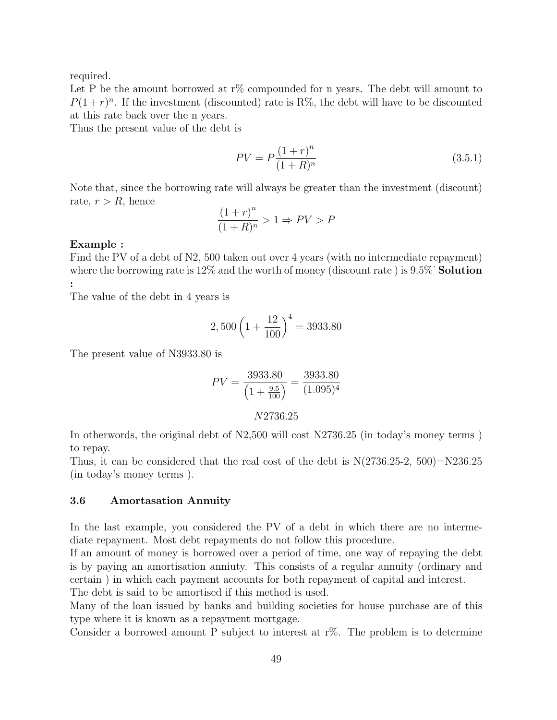required.

Let P be the amount borrowed at  $r\%$  compounded for n years. The debt will amount to  $P(1+r)^n$ . If the investment (discounted) rate is R%, the debt will have to be discounted at this rate back over the n years.

Thus the present value of the debt is

$$
PV = P \frac{(1+r)^n}{(1+R)^n}
$$
\n(3.5.1)

Note that, since the borrowing rate will always be greater than the investment (discount) rate,  $r > R$ , hence

$$
\frac{(1+r)^n}{(1+R)^n} > 1 \Rightarrow PV > P
$$

#### Example :

Find the PV of a debt of N2, 500 taken out over 4 years (with no intermediate repayment) where the borrowing rate is  $12\%$  and the worth of money (discount rate) is  $9.5\%$  Solution :

The value of the debt in 4 years is

$$
2,500\left(1+\frac{12}{100}\right)^4 = 3933.80
$$

The present value of N3933.80 is

$$
PV = \frac{3933.80}{\left(1 + \frac{9.5}{100}\right)} = \frac{3933.80}{(1.095)^4}
$$

$$
N2736.25
$$

In otherwords, the original debt of N2,500 will cost N2736.25 (in today's money terms ) to repay.

Thus, it can be considered that the real cost of the debt is  $N(2736.25-2, 500)=N236.25$ (in today's money terms ).

## 3.6 Amortasation Annuity

In the last example, you considered the PV of a debt in which there are no intermediate repayment. Most debt repayments do not follow this procedure.

If an amount of money is borrowed over a period of time, one way of repaying the debt is by paying an amortisation anniuty. This consists of a regular annuity (ordinary and certain ) in which each payment accounts for both repayment of capital and interest. The debt is said to be amortised if this method is used.

Many of the loan issued by banks and building societies for house purchase are of this type where it is known as a repayment mortgage.

Consider a borrowed amount P subject to interest at  $r\%$ . The problem is to determine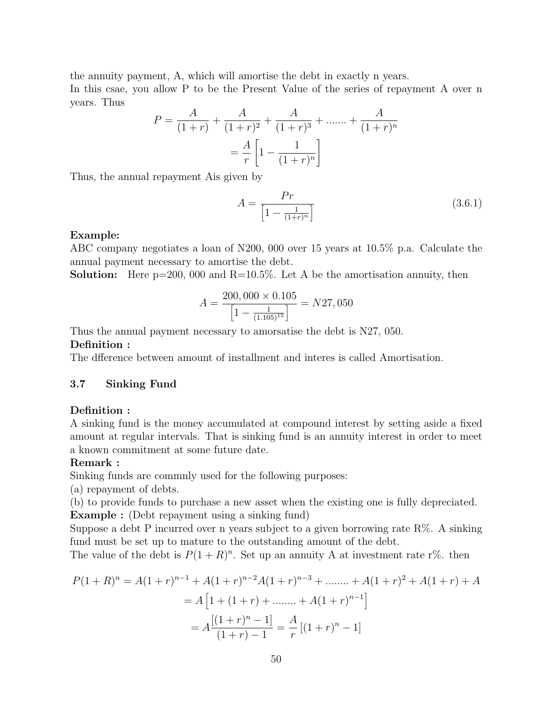the annuity payment, A, which will amortise the debt in exactly n years.

In this csae, you allow P to be the Present Value of the series of repayment A over n years. Thus

$$
P = \frac{A}{(1+r)} + \frac{A}{(1+r)^2} + \frac{A}{(1+r)^3} + \dots + \frac{A}{(1+r)^n}
$$

$$
= \frac{A}{r} \left[ 1 - \frac{1}{(1+r)^n} \right]
$$

Thus, the annual repayment Ais given by

$$
A = \frac{Pr}{\left[1 - \frac{1}{(1+r)^n}\right]}
$$
\n(3.6.1)

## Example:

ABC company negotiates a loan of N200, 000 over 15 years at 10.5% p.a. Calculate the annual payment necessary to amortise the debt.

**Solution:** Here  $p=200$ , 000 and  $R=10.5\%$ . Let A be the amortisation annuity, then

$$
A = \frac{200,000 \times 0.105}{\left[1 - \frac{1}{(1.105)^{15}}\right]} = N27,050
$$

Thus the annual payment necessary to amorsatise the debt is N27, 050.

## Definition :

The dfference between amount of installment and interes is called Amortisation.

# 3.7 Sinking Fund

## Definition :

A sinking fund is the money accumulated at compound interest by setting aside a fixed amount at regular intervals. That is sinking fund is an annuity interest in order to meet a known commitment at some future date.

## Remark :

Sinking funds are commnly used for the following purposes:

(a) repayment of debts.

(b) to provide funds to purchase a new asset when the existing one is fully depreciated. Example : (Debt repayment using a sinking fund)

Suppose a debt P incurred over n years subject to a given borrowing rate  $R\%$ . A sinking fund must be set up to mature to the outstanding amount of the debt.

The value of the debt is  $P(1 + R)^n$ . Set up an annuity A at investment rate r%, then

$$
P(1+R)^n = A(1+r)^{n-1} + A(1+r)^{n-2}A(1+r)^{n-3} + \dots + A(1+r)^2 + A(1+r) + A
$$
  
=  $A\left[1 + (1+r) + \dots + A(1+r)^{n-1}\right]$   
=  $A\frac{[(1+r)^n - 1]}{(1+r) - 1} = \frac{A}{r}[(1+r)^n - 1]$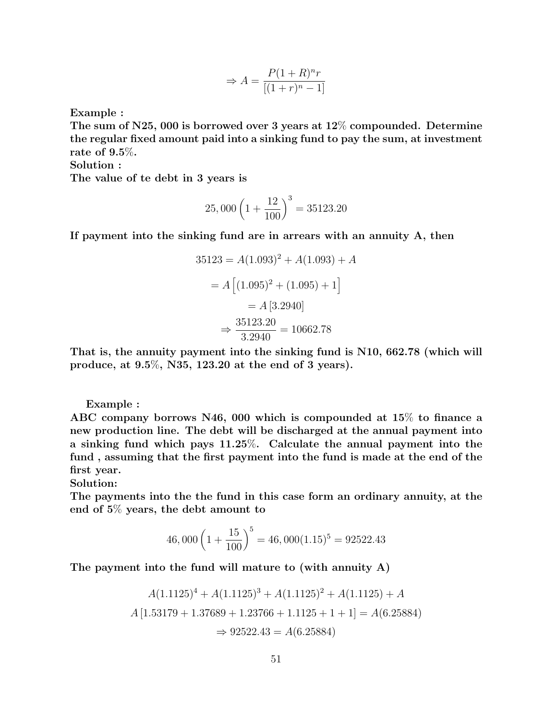$$
\Rightarrow A = \frac{P(1+R)^n r}{[(1+r)^n - 1]}
$$

Example :

The sum of N25, 000 is borrowed over 3 years at  $12\%$  compounded. Determine the regular fixed amount paid into a sinking fund to pay the sum, at investment rate of 9.5%.

Solution :

The value of te debt in 3 years is

$$
25,000\left(1+\frac{12}{100}\right)^3 = 35123.20
$$

If payment into the sinking fund are in arrears with an annuity A, then

$$
35123 = A(1.093)^2 + A(1.093) + A
$$

$$
= A [(1.095)^2 + (1.095) + 1]
$$

$$
= A [3.2940]
$$

$$
\Rightarrow \frac{35123.20}{3.2940} = 10662.78
$$

That is, the annuity payment into the sinking fund is N10, 662.78 (which will produce, at 9.5%, N35, 123.20 at the end of 3 years).

Example :

ABC company borrows N46, 000 which is compounded at 15% to finance a new production line. The debt will be discharged at the annual payment into a sinking fund which pays 11.25%. Calculate the annual payment into the fund , assuming that the first payment into the fund is made at the end of the first year.

Solution:

The payments into the the fund in this case form an ordinary annuity, at the end of 5% years, the debt amount to

$$
46,000\left(1+\frac{15}{100}\right)^5 = 46,000(1.15)^5 = 92522.43
$$

The payment into the fund will mature to (with annuity A)

$$
A(1.1125)^4 + A(1.1125)^3 + A(1.1125)^2 + A(1.1125) + A
$$
  

$$
A[1.53179 + 1.37689 + 1.23766 + 1.1125 + 1 + 1] = A(6.25884)
$$
  

$$
\Rightarrow 92522.43 = A(6.25884)
$$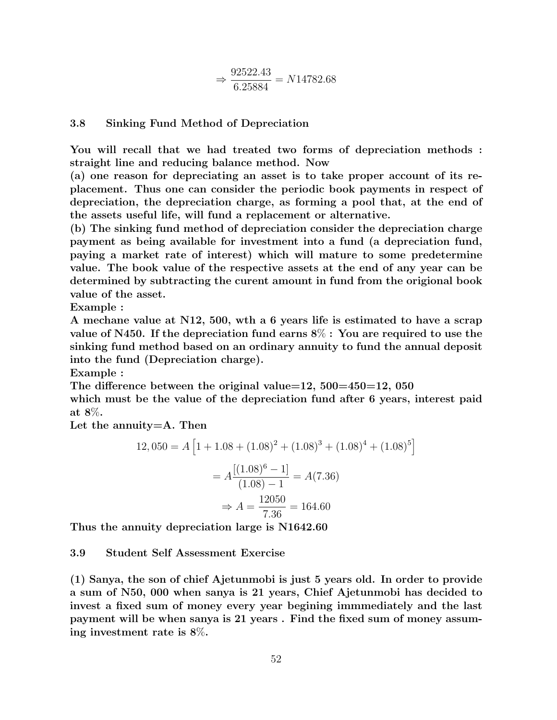$$
\Rightarrow \frac{92522.43}{6.25884} = N14782.68
$$

# 3.8 Sinking Fund Method of Depreciation

You will recall that we had treated two forms of depreciation methods : straight line and reducing balance method. Now

(a) one reason for depreciating an asset is to take proper account of its replacement. Thus one can consider the periodic book payments in respect of depreciation, the depreciation charge, as forming a pool that, at the end of the assets useful life, will fund a replacement or alternative.

(b) The sinking fund method of depreciation consider the depreciation charge payment as being available for investment into a fund (a depreciation fund, paying a market rate of interest) which will mature to some predetermine value. The book value of the respective assets at the end of any year can be determined by subtracting the curent amount in fund from the origional book value of the asset.

Example :

A mechane value at N12, 500, wth a 6 years life is estimated to have a scrap value of N450. If the depreciation fund earns 8% : You are required to use the sinking fund method based on an ordinary annuity to fund the annual deposit into the fund (Depreciation charge).

Example :

The difference between the original value=12,  $500=450=12$ ,  $050$ which must be the value of the depreciation fund after 6 years, interest paid at 8%.

Let the annuity=A. Then

$$
12,050 = A \left[ 1 + 1.08 + (1.08)^2 + (1.08)^3 + (1.08)^4 + (1.08)^5 \right]
$$

$$
= A \frac{[(1.08)^6 - 1]}{(1.08) - 1} = A(7.36)
$$

$$
\Rightarrow A = \frac{12050}{7.36} = 164.60
$$

Thus the annuity depreciation large is N1642.60

## 3.9 Student Self Assessment Exercise

(1) Sanya, the son of chief Ajetunmobi is just 5 years old. In order to provide a sum of N50, 000 when sanya is 21 years, Chief Ajetunmobi has decided to invest a fixed sum of money every year begining immmediately and the last payment will be when sanya is 21 years . Find the fixed sum of money assuming investment rate is 8%.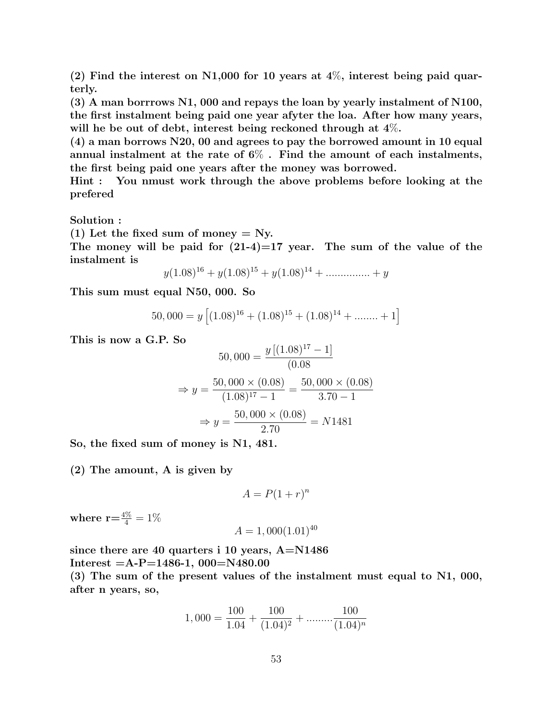$(2)$  Find the interest on N1,000 for 10 years at 4\%, interest being paid quarterly.

(3) A man borrrows N1, 000 and repays the loan by yearly instalment of N100, the first instalment being paid one year afyter the loa. After how many years, will he be out of debt, interest being reckoned through at  $4\%$ .

(4) a man borrows N20, 00 and agrees to pay the borrowed amount in 10 equal annual instalment at the rate of  $6\%$ . Find the amount of each instalments, the first being paid one years after the money was borrowed.

Hint : You nmust work through the above problems before looking at the prefered

Solution :

(1) Let the fixed sum of money  $=$  Ny.

The money will be paid for  $(21-4)=17$  year. The sum of the value of the instalment is

$$
y(1.08)^{16} + y(1.08)^{15} + y(1.08)^{14} + \dots + y
$$

This sum must equal N50, 000. So

$$
50,000 = y \left[ (1.08)^{16} + (1.08)^{15} + (1.08)^{14} + \dots + 1 \right]
$$

This is now a G.P. So

$$
50,000 = \frac{y[(1.08)^{17} - 1]}{(0.08)}
$$

$$
\Rightarrow y = \frac{50,000 \times (0.08)}{(1.08)^{17} - 1} = \frac{50,000 \times (0.08)}{3.70 - 1}
$$

$$
\Rightarrow y = \frac{50,000 \times (0.08)}{2.70} = N1481
$$

So, the fixed sum of money is N1, 481.

(2) The amount, A is given by

$$
A = P(1+r)^n
$$

where  $\mathbf{r}{=}\frac{4\%}{4}=1\%$ 

$$
A = 1,000(1.01)^{40}
$$

since there are 40 quarters i 10 years,  $A=N1486$ Interest  $=A-P=1486-1$ , 000 $=N480.00$ 

(3) The sum of the present values of the instalment must equal to N1, 000, after n years, so,

$$
1,000 = \frac{100}{1.04} + \frac{100}{(1.04)^2} + \dots \dots \dots \frac{100}{(1.04)^n}
$$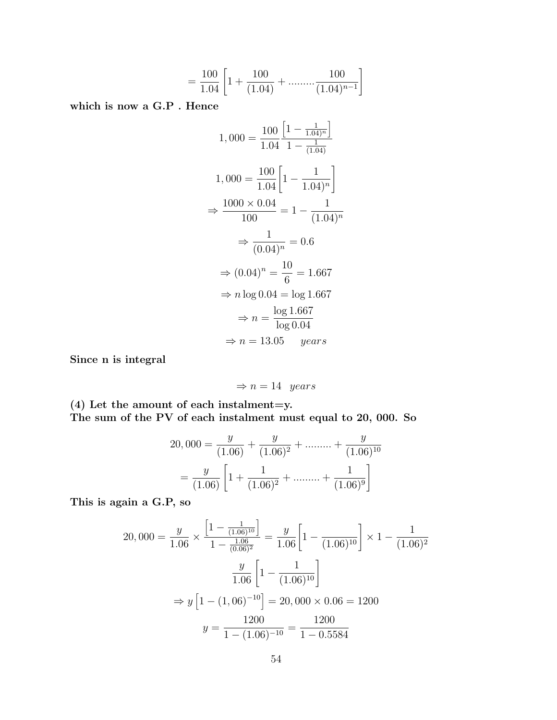$$
= \frac{100}{1.04} \left[ 1 + \frac{100}{(1.04)} + \dots \dots \dots \frac{100}{(1.04)^{n-1}} \right]
$$

which is now a G.P . Hence

$$
1,000 = \frac{100}{1.04} \frac{\left[1 - \frac{1}{1.04\right)^n}\right]}{1 - \frac{1}{(1.04)}}
$$
  

$$
1,000 = \frac{100}{1.04} \left[1 - \frac{1}{1.04\right)^n}
$$
  

$$
\Rightarrow \frac{1000 \times 0.04}{100} = 1 - \frac{1}{(1.04)^n}
$$
  

$$
\Rightarrow \frac{1}{(0.04)^n} = 0.6
$$
  

$$
\Rightarrow (0.04)^n = \frac{10}{6} = 1.667
$$
  

$$
\Rightarrow n \log 0.04 = \log 1.667
$$
  

$$
\Rightarrow n = \frac{\log 1.667}{\log 0.04}
$$
  

$$
\Rightarrow n = 13.05 \quad years
$$

Since n is integral

$$
\Rightarrow n = 14 \quad years
$$

 $(4)$  Let the amount of each instalment=y. The sum of the PV of each instalment must equal to 20, 000. So

$$
20,000 = \frac{y}{(1.06)} + \frac{y}{(1.06)^2} + \dots + \frac{y}{(1.06)^{10}}
$$

$$
= \frac{y}{(1.06)} \left[ 1 + \frac{1}{(1.06)^2} + \dots + \frac{1}{(1.06)^9} \right]
$$

This is again a G.P, so

$$
20,000 = \frac{y}{1.06} \times \frac{\left[1 - \frac{1}{(1.06)^{10}}\right]}{1 - \frac{1.06}{(0.06)^2}} = \frac{y}{1.06} \left[1 - \frac{1}{(1.06)^{10}}\right] \times 1 - \frac{1}{(1.06)^2}
$$

$$
\frac{y}{1.06} \left[1 - \frac{1}{(1.06)^{10}}\right]
$$

$$
\Rightarrow y \left[1 - (1,06)^{-10}\right] = 20,000 \times 0.06 = 1200
$$

$$
y = \frac{1200}{1 - (1.06)^{-10}} = \frac{1200}{1 - 0.5584}
$$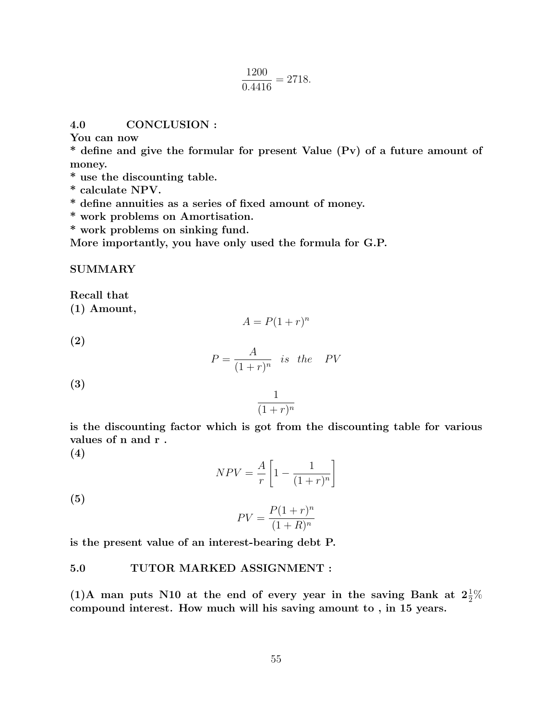$$
\frac{1200}{0.4416} = 2718.
$$

4.0 CONCLUSION :

You can now

\* define and give the formular for present Value (Pv) of a future amount of money.

- \* use the discounting table.
- \* calculate NPV.
- \* define annuities as a series of fixed amount of money.
- \* work problems on Amortisation.
- \* work problems on sinking fund.

More importantly, you have only used the formula for G.P.

## SUMMARY

Recall that

(1) Amount,

$$
A = P(1+r)^n
$$

(2)

$$
P = \frac{A}{(1+r)^n} \quad \text{is} \quad \text{the} \quad PV
$$

(3)

$$
\frac{1}{(1+r)^n}
$$

is the discounting factor which is got from the discounting table for various values of n and r .

(4)

$$
NPV = \frac{A}{r} \left[ 1 - \frac{1}{(1+r)^n} \right]
$$

(5)

$$
PV = \frac{P(1+r)^n}{(1+R)^n}
$$

is the present value of an interest-bearing debt P.

## 5.0 TUTOR MARKED ASSIGNMENT :

(1)A man puts N10 at the end of every year in the saving Bank at  $2\frac{1}{2}\%$ compound interest. How much will his saving amount to , in 15 years.